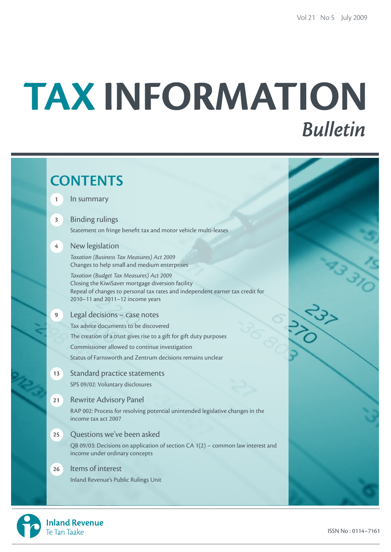# TAX INFORMATION **Bulletin**

|                         | <b>CONTENTS</b>                                                                                                                                                                                                   |  |
|-------------------------|-------------------------------------------------------------------------------------------------------------------------------------------------------------------------------------------------------------------|--|
| $\mathbf{1}$            | In summary                                                                                                                                                                                                        |  |
| $\overline{\mathbf{3}}$ | <b>Binding rulings</b><br>Statement on fringe benefit tax and motor vehicle multi-leases                                                                                                                          |  |
| $\overline{4}$          | New legislation<br>Taxation (Business Tax Measures) Act 2009<br>Changes to help small and medium enterprises                                                                                                      |  |
|                         | Taxation (Budget Tax Measures) Act 2009<br>Closing the KiwiSaver mortgage diversion facility<br>Repeal of changes to personal tax rates and independent earner tax credit for<br>2010-11 and 2011-12 income years |  |
| 9 <sup>°</sup>          | Legal decisions - case notes                                                                                                                                                                                      |  |
|                         | Tax advice documents to be discovered                                                                                                                                                                             |  |
|                         | The creation of a trust gives rise to a gift for gift duty purposes                                                                                                                                               |  |
|                         | Commissioner allowed to continue investigation                                                                                                                                                                    |  |
|                         | Status of Farnsworth and Zentrum decisions remains unclear                                                                                                                                                        |  |
| 13                      | <b>Standard practice statements</b>                                                                                                                                                                               |  |
|                         | SPS 09/02: Voluntary disclosures                                                                                                                                                                                  |  |
| 21                      | <b>Rewrite Advisory Panel</b>                                                                                                                                                                                     |  |
|                         | RAP 002: Process for resolving potential unintended legislative changes in the<br>income tax act 2007                                                                                                             |  |
| 25                      | Questions we've been asked                                                                                                                                                                                        |  |
|                         | QB 09/03: Decisions on application of section CA 1(2) - common law interest and<br>income under ordinary concepts                                                                                                 |  |
| 26                      | Items of interest                                                                                                                                                                                                 |  |
|                         | Inland Revenue's Public Rulings Unit                                                                                                                                                                              |  |
|                         |                                                                                                                                                                                                                   |  |

**Inland Revenue** 

Te Tari Taake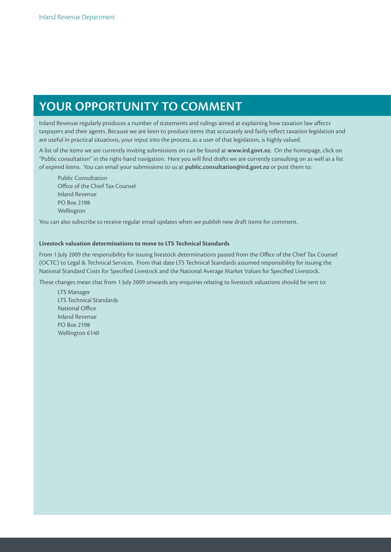# **Your opportunity to comment**

Inland Revenue regularly produces a number of statements and rulings aimed at explaining how taxation law affects taxpayers and their agents. Because we are keen to produce items that accurately and fairly reflect taxation legislation and are useful in practical situations, your input into the process, as a user of that legislation, is highly valued.

A list of the items we are currently inviting submissions on can be found at **www.ird.govt.nz**. On the homepage, click on "Public consultation" in the right-hand navigation. Here you will find drafts we are currently consulting on as well as a list of expired items. You can email your submissions to us at **public.consultation@ird.govt.nz** or post them to:

Public Consultation Office of the Chief Tax Counsel Inland Revenue PO Box 2198 Wellington

You can also subscribe to receive regular email updates when we publish new draft items for comment.

#### **Livestock valuation determinations to move to LTS Technical Standards**

From 1 July 2009 the responsibility for issuing livestock determinations passed from the Office of the Chief Tax Counsel (OCTC) to Legal & Technical Services. From that date LTS Technical Standards assumed responsibility for issuing the National Standard Costs for Specified Livestock and the National Average Market Values for Specified Livestock.

These changes mean that from 1 July 2009 onwards any enquiries relating to livestock valuations should be sent to:

LTS Manager LTS Technical Standards National Office Inland Revenue PO Box 2198 Wellington 6140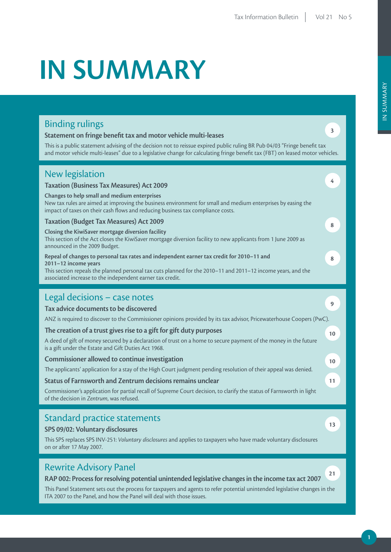# **IN SUMMARY**

## Binding rulings

#### **Statement on fringe benefit tax and motor vehicle multi-leases**

ITA 2007 to the Panel, and how the Panel will deal with those issues.

This is a public statement advising of the decision not to reissue expired public ruling BR Pub 04/03 "Fringe benefit tax and motor vehicle multi-leases" due to a legislative change for calculating fringe benefit tax (FBT) on leased motor vehicles.

| <b>New legislation</b><br><b>Taxation (Business Tax Measures) Act 2009</b><br>Changes to help small and medium enterprises<br>New tax rules are aimed at improving the business environment for small and medium enterprises by easing the<br>impact of taxes on their cash flows and reducing business tax compliance costs.<br><b>Taxation (Budget Tax Measures) Act 2009</b>                                                                                                                        | 4<br>8 |
|--------------------------------------------------------------------------------------------------------------------------------------------------------------------------------------------------------------------------------------------------------------------------------------------------------------------------------------------------------------------------------------------------------------------------------------------------------------------------------------------------------|--------|
| Closing the KiwiSaver mortgage diversion facility<br>This section of the Act closes the KiwiSaver mortgage diversion facility to new applicants from 1 June 2009 as<br>announced in the 2009 Budget.<br>Repeal of changes to personal tax rates and independent earner tax credit for 2010-11 and<br>2011-12 income years<br>This section repeals the planned personal tax cuts planned for the 2010-11 and 2011-12 income years, and the<br>associated increase to the independent earner tax credit. | 8      |
| Legal decisions - case notes<br>Tax advice documents to be discovered                                                                                                                                                                                                                                                                                                                                                                                                                                  | 9      |
| ANZ is required to discover to the Commissioner opinions provided by its tax advisor, Pricewaterhouse Coopers (PwC).                                                                                                                                                                                                                                                                                                                                                                                   |        |
| The creation of a trust gives rise to a gift for gift duty purposes                                                                                                                                                                                                                                                                                                                                                                                                                                    | 10     |
| A deed of gift of money secured by a declaration of trust on a home to secure payment of the money in the future<br>is a gift under the Estate and Gift Duties Act 1968.                                                                                                                                                                                                                                                                                                                               |        |
| Commissioner allowed to continue investigation                                                                                                                                                                                                                                                                                                                                                                                                                                                         | 10     |
| The applicants' application for a stay of the High Court judgment pending resolution of their appeal was denied.                                                                                                                                                                                                                                                                                                                                                                                       |        |
| Status of Farnsworth and Zentrum decisions remains unclear                                                                                                                                                                                                                                                                                                                                                                                                                                             | 11     |
| Commissioner's application for partial recall of Supreme Court decision, to clarify the status of Farnsworth in light<br>of the decision in Zentrum, was refused.                                                                                                                                                                                                                                                                                                                                      |        |
| Standard practice statements<br>SPS 09/02: Voluntary disclosures<br>This SPS replaces SPS INV-251: Voluntary disclosures and applies to taxpayers who have made voluntary disclosures<br>on or after 17 May 2007.                                                                                                                                                                                                                                                                                      | 13     |
| <b>Rewrite Advisory Panel</b><br>RAP 002: Process for resolving potential unintended legislative changes in the income tax act 2007<br>This Panel Statement sets out the process for taxpayers and agents to refer potential unintended legislative changes in the                                                                                                                                                                                                                                     | 21     |

**3**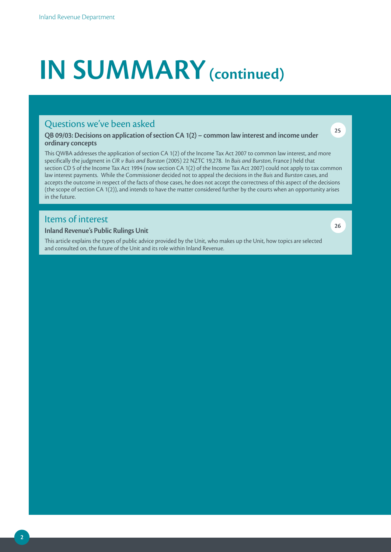# **IN SUMMARY (continued)**

### Questions we've been asked

**QB 09/03: Decisions on application of section CA 1(2) – common law interest and income under ordinary concepts**

This QWBA addresses the application of section CA 1(2) of the Income Tax Act 2007 to common law interest, and more specifically the judgment in *CIR v Buis and Burston* (2005) 22 NZTC 19,278. In *Buis and Burston*, France J held that section CD 5 of the Income Tax Act 1994 (now section CA 1(2) of the Income Tax Act 2007) could not apply to tax common law interest payments. While the Commissioner decided not to appeal the decisions in the *Buis* and *Burston* cases, and accepts the outcome in respect of the facts of those cases, he does not accept the correctness of this aspect of the decisions (the scope of section CA 1(2)), and intends to have the matter considered further by the courts when an opportunity arises in the future.

## Items of interest

#### **Inland Revenue's Public Rulings Unit**

This article explains the types of public advice provided by the Unit, who makes up the Unit, how topics are selected and consulted on, the future of the Unit and its role within Inland Revenue.

**26**

**25**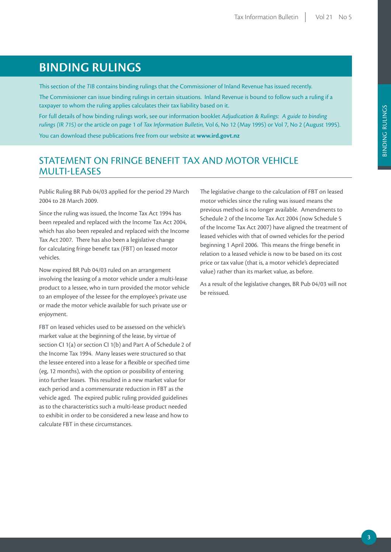# **BINDING RULINGS**

This section of the *TIB* contains binding rulings that the Commissioner of Inland Revenue has issued recently.

The Commissioner can issue binding rulings in certain situations. Inland Revenue is bound to follow such a ruling if a taxpayer to whom the ruling applies calculates their tax liability based on it.

For full details of how binding rulings work, see our information booklet *Adjudication & Rulings: A guide to binding rulings (IR 715)* or the article on page 1 of *Tax Information Bulletin,* Vol 6, No 12 (May 1995) or Vol 7, No 2 (August 1995).

You can download these publications free from our website at **www.ird.govt.nz**

## statement on FRINGE BENEFIT TAX AND MOTOR VEHICLE MULTI-LEASES

Public Ruling BR Pub 04/03 applied for the period 29 March 2004 to 28 March 2009.

Since the ruling was issued, the Income Tax Act 1994 has been repealed and replaced with the Income Tax Act 2004, which has also been repealed and replaced with the Income Tax Act 2007. There has also been a legislative change for calculating fringe benefit tax (FBT) on leased motor vehicles.

Now expired BR Pub 04/03 ruled on an arrangement involving the leasing of a motor vehicle under a multi-lease product to a lessee, who in turn provided the motor vehicle to an employee of the lessee for the employee's private use or made the motor vehicle available for such private use or enjoyment.

FBT on leased vehicles used to be assessed on the vehicle's market value at the beginning of the lease, by virtue of section CI 1(a) or section CI 1(b) and Part A of Schedule 2 of the Income Tax 1994. Many leases were structured so that the lessee entered into a lease for a flexible or specified time (eg, 12 months), with the option or possibility of entering into further leases. This resulted in a new market value for each period and a commensurate reduction in FBT as the vehicle aged. The expired public ruling provided guidelines as to the characteristics such a multi-lease product needed to exhibit in order to be considered a new lease and how to calculate FBT in these circumstances.

The legislative change to the calculation of FBT on leased motor vehicles since the ruling was issued means the previous method is no longer available. Amendments to Schedule 2 of the Income Tax Act 2004 (now Schedule 5 of the Income Tax Act 2007) have aligned the treatment of leased vehicles with that of owned vehicles for the period beginning 1 April 2006. This means the fringe benefit in relation to a leased vehicle is now to be based on its cost price or tax value (that is, a motor vehicle's depreciated value) rather than its market value, as before.

As a result of the legislative changes, BR Pub 04/03 will not be reissued.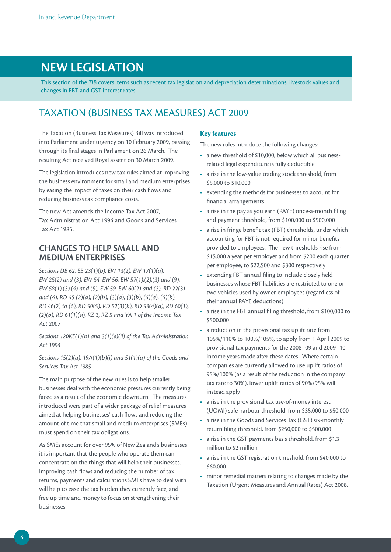## **NEW LEGISLATION**

This section of the *TIB* covers items such as recent tax legislation and depreciation determinations, livestock values and changes in FBT and GST interest rates.

## TAXATION (BUSINESS TAX MEASURES) ACT 2009

The Taxation (Business Tax Measures) Bill was introduced into Parliament under urgency on 10 February 2009, passing through its final stages in Parliament on 26 March. The resulting Act received Royal assent on 30 March 2009.

The legislation introduces new tax rules aimed at improving the business environment for small and medium enterprises by easing the impact of taxes on their cash flows and reducing business tax compliance costs.

The new Act amends the Income Tax Act 2007, Tax Administration Act 1994 and Goods and Services Tax Act 1985.

#### **CHANGES TO HELP SMALL AND MEDIUM ENTERPRISES**

*Sections DB 62, EB 23(1)(b), EW 13(2), EW 17(1)(a), EW 25(2) and (3), EW 54, EW 56, EW 57(1),(2),(3) and (9), EW 58(1),(3),(4) and (5), EW 59, EW 60(2) and (3), RD 22(3) and (4), RD 45 (2)(a), (2)(b), (3)(a), (3)(b), (4)(a), (4)(b), RD 46(2) to (6), RD 50(5), RD 52(3)(b), RD 53(4)(a), RD 60(1), (2)(b), RD 61(1)(a), RZ 3, RZ 5 and YA 1 of the Income Tax Act 2007*

*Sections 120KE(1)(b) and 3(1)(e)(ii) of the Tax Administration Act 1994*

*Sections 15(2)(a), 19A(1)(b)(i) and 51(1)(a) of the Goods and Services Tax Act 1985*

The main purpose of the new rules is to help smaller businesses deal with the economic pressures currently being faced as a result of the economic downturn. The measures introduced were part of a wider package of relief measures aimed at helping businesses' cash flows and reducing the amount of time that small and medium enterprises (SMEs) must spend on their tax obligations.

As SMEs account for over 95% of New Zealand's businesses it is important that the people who operate them can concentrate on the things that will help their businesses. Improving cash flows and reducing the number of tax returns, payments and calculations SMEs have to deal with will help to ease the tax burden they currently face, and free up time and money to focus on strengthening their businesses.

#### **Key features**

The new rules introduce the following changes:

- a new threshold of \$10,000, below which all businessrelated legal expenditure is fully deductible
- a rise in the low-value trading stock threshold, from \$5,000 to \$10,000
- • extending the methods for businesses to account for financial arrangements
- a rise in the pay as you earn (PAYE) once-a-month filing and payment threshold, from \$100,000 to \$500,000
- a rise in fringe benefit tax (FBT) thresholds, under which accounting for FBT is not required for minor benefits provided to employees. The new thresholds rise from \$15,000 a year per employer and from \$200 each quarter per employee, to \$22,500 and \$300 respectively
- • extending FBT annual filing to include closely held businesses whose FBT liabilities are restricted to one or two vehicles used by owner-employees (regardless of their annual PAYE deductions)
- a rise in the FBT annual filing threshold, from \$100,000 to \$500,000
- a reduction in the provisional tax uplift rate from 105%/110% to 100%/105%, to apply from 1 April 2009 to provisional tax payments for the 2008–09 and 2009–10 income years made after these dates. Where certain companies are currently allowed to use uplift ratios of 95%/100% (as a result of the reduction in the company tax rate to 30%), lower uplift ratios of 90%/95% will instead apply
- a rise in the provisional tax use-of-money interest (UOMI) safe harbour threshold, from \$35,000 to \$50,000
- a rise in the Goods and Services Tax (GST) six-monthly return filing threshold, from \$250,000 to \$500,000
- a rise in the GST payments basis threshold, from \$1.3 million to \$2 million
- a rise in the GST registration threshold, from \$40,000 to \$60,000
- minor remedial matters relating to changes made by the Taxation (Urgent Measures and Annual Rates) Act 2008.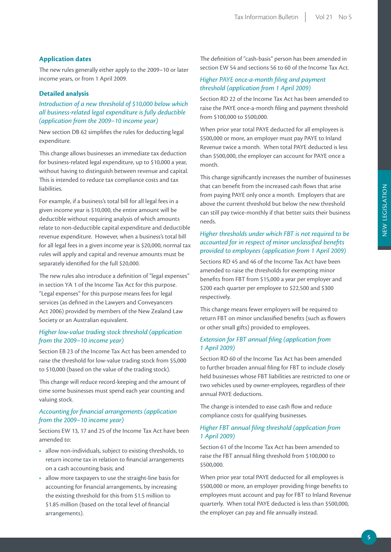#### **Application dates**

The new rules generally either apply to the 2009–10 or later income years, or from 1 April 2009.

#### **Detailed analysis**

*Introduction of a new threshold of \$10,000 below which all business-related legal expenditure is fully deductible (application from the 2009–10 income year)*

New section DB 62 simplifies the rules for deducting legal expenditure.

This change allows businesses an immediate tax deduction for business-related legal expenditure, up to \$10,000 a year, without having to distinguish between revenue and capital. This is intended to reduce tax compliance costs and tax liabilities.

For example, if a business's total bill for all legal fees in a given income year is \$10,000, the entire amount will be deductible without requiring analysis of which amounts relate to non-deductible capital expenditure and deductible revenue expenditure. However, when a business's total bill for all legal fees in a given income year is \$20,000, normal tax rules will apply and capital and revenue amounts must be separately identified for the full \$20,000.

The new rules also introduce a definition of "legal expenses" in section YA 1 of the Income Tax Act for this purpose. "Legal expenses" for this purpose means fees for legal services (as defined in the Lawyers and Conveyancers Act 2006) provided by members of the New Zealand Law Society or an Australian equivalent.

#### *Higher low-value trading stock threshold (application from the 2009–10 income year)*

Section EB 23 of the Income Tax Act has been amended to raise the threshold for low-value trading stock from \$5,000 to \$10,000 (based on the value of the trading stock).

This change will reduce record-keeping and the amount of time some businesses must spend each year counting and valuing stock.

#### *Accounting for financial arrangements (application from the 2009–10 income year)*

Sections EW 13, 17 and 25 of the Income Tax Act have been amended to:

- allow non-individuals, subject to existing thresholds, to return income tax in relation to financial arrangements on a cash accounting basis; and
- allow more taxpayers to use the straight-line basis for accounting for financial arrangements, by increasing the existing threshold for this from \$1.5 million to \$1.85 million (based on the total level of financial arrangements).

The definition of "cash-basis" person has been amended in section EW 54 and sections 56 to 60 of the Income Tax Act.

#### *Higher PAYE once-a-month filing and payment threshold (application from 1 April 2009)*

Section RD 22 of the Income Tax Act has been amended to raise the PAYE once-a-month filing and payment threshold from \$100,000 to \$500,000.

When prior year total PAYE deducted for all employees is \$500,000 or more, an employer must pay PAYE to Inland Revenue twice a month. When total PAYE deducted is less than \$500,000, the employer can account for PAYE once a month.

This change significantly increases the number of businesses that can benefit from the increased cash flows that arise from paying PAYE only once a month. Employers that are above the current threshold but below the new threshold can still pay twice-monthly if that better suits their business needs.

#### *Higher thresholds under which FBT is not required to be accounted for in respect of minor unclassified benefits provided to employees (application from 1 April 2009)*

Sections RD 45 and 46 of the Income Tax Act have been amended to raise the thresholds for exempting minor benefits from FBT from \$15,000 a year per employer and \$200 each quarter per employee to \$22,500 and \$300 respectively.

This change means fewer employers will be required to return FBT on minor unclassified benefits (such as flowers or other small gifts) provided to employees.

#### *Extension for FBT annual filing (application from 1 April 2009)*

Section RD 60 of the Income Tax Act has been amended to further broaden annual filing for FBT to include closely held businesses whose FBT liabilities are restricted to one or two vehicles used by owner-employees, regardless of their annual PAYE deductions.

The change is intended to ease cash flow and reduce compliance costs for qualifying businesses.

#### *Higher FBT annual filing threshold (application from 1 April 2009)*

Section 61 of the Income Tax Act has been amended to raise the FBT annual filing threshold from \$100,000 to \$500,000.

When prior year total PAYE deducted for all employees is \$500,000 or more, an employer providing fringe benefits to employees must account and pay for FBT to Inland Revenue quarterly. When total PAYE deducted is less than \$500,000, the employer can pay and file annually instead.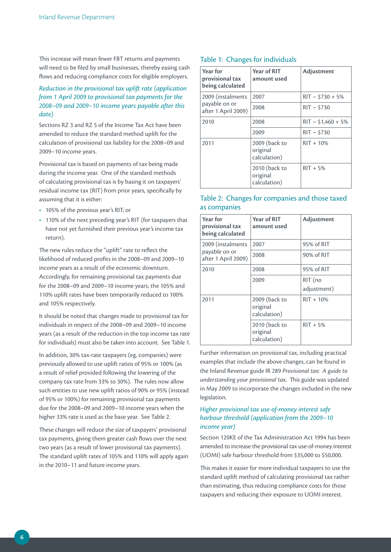This increase will mean fewer FBT returns and payments will need to be filed by small businesses, thereby easing cash flows and reducing compliance costs for eligible employers.

#### *Reduction in the provisional tax uplift rate (application from 1 April 2009 to provisional tax payments for the 2008–09 and 2009–10 income years payable after this date)*

Sections RZ 3 and RZ 5 of the Income Tax Act have been amended to reduce the standard method uplift for the calculation of provisional tax liability for the 2008–09 and 2009–10 income years.

Provisional tax is based on payments of tax being made during the income year. One of the standard methods of calculating provisional tax is by basing it on taxpayers' residual income tax (RIT) from prior years, specifically by assuming that it is either:

- • 105% of the previous year's RIT; or
- 110% of the next preceding year's RIT (for taxpayers that have not yet furnished their previous year's income tax return).

The new rules reduce the "uplift" rate to reflect the likelihood of reduced profits in the 2008–09 and 2009–10 income years as a result of the economic downturn. Accordingly, for remaining provisional tax payments due for the 2008–09 and 2009–10 income years, the 105% and 110% uplift rates have been temporarily reduced to 100% and 105% respectively.

It should be noted that changes made to provisional tax for individuals in respect of the 2008–09 and 2009–10 income years (as a result of the reduction in the top income tax rate for individuals) must also be taken into account. See Table 1.

In addition, 30% tax-rate taxpayers (eg, companies) were previously allowed to use uplift ratios of 95% or 100% (as a result of relief provided following the lowering of the company tax rate from 33% to 30%). The rules now allow such entities to use new uplift ratios of 90% or 95% (instead of 95% or 100%) for remaining provisional tax payments due for the 2008–09 and 2009–10 income years when the higher 33% rate is used as the base year. See Table 2.

These changes will reduce the size of taxpayers' provisional tax payments, giving them greater cash flows over the next two years (as a result of lower provisional tax payments). The standard uplift rates of 105% and 110% will apply again in the 2010–11 and future income years.

#### Table 1: Changes for individuals

| Year for<br>provisional tax<br>being calculated | <b>Year of RIT</b><br>amount used         | Adjustment          |
|-------------------------------------------------|-------------------------------------------|---------------------|
| 2009 (instalments                               | 2007                                      | $RIT - $730 + 5%$   |
| payable on or<br>after 1 April 2009)            | 2008                                      | $RIT - $730$        |
| 2010                                            | 2008                                      | $RIT - $1,460 + 5%$ |
|                                                 | 2009                                      | $RIT - $730$        |
| 2011                                            | 2009 (back to<br>original<br>calculation) | $RIT + 10%$         |
|                                                 | 2010 (back to<br>original<br>calculation) | $RIT + 5%$          |

#### Table 2: Changes for companies and those taxed as companies

| <b>Year for</b><br>provisional tax<br>being calculated | Year of RIT<br>amount used                | Adjustment             |
|--------------------------------------------------------|-------------------------------------------|------------------------|
| 2009 (instalments                                      | 2007                                      | 95% of RIT             |
| payable on or<br>after 1 April 2009)                   | 2008                                      | 90% of RIT             |
| 2010                                                   | 2008                                      | 95% of RIT             |
|                                                        | 2009                                      | RIT (no<br>adjustment) |
| 2011                                                   | 2009 (back to<br>original<br>calculation) | $RIT + 10%$            |
|                                                        | 2010 (back to<br>original<br>calculation) | $RIT + 5%$             |

Further information on provisional tax, including practical examples that include the above changes, can be found in the Inland Revenue guide IR 289 *Provisional tax: A guide to understanding your provisional tax*. This guide was updated in May 2009 to incorporate the changes included in the new legislation.

#### *Higher provisional tax use-of-money interest safe harbour threshold (application from the 2009–10 income year)*

Section 120KE of the Tax Administration Act 1994 has been amended to increase the provisional tax use-of-money interest (UOMI) safe harbour threshold from \$35,000 to \$50,000.

This makes it easier for more individual taxpayers to use the standard uplift method of calculating provisional tax rather than estimating, thus reducing compliance costs for those taxpayers and reducing their exposure to UOMI interest.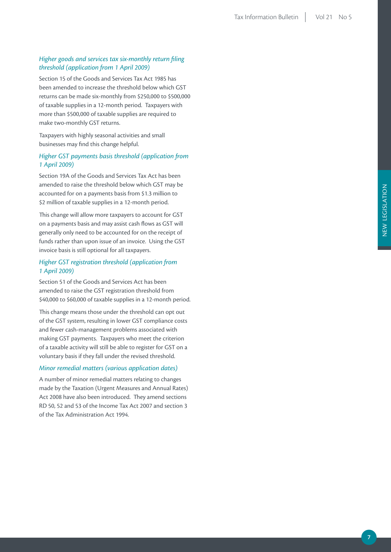#### *Higher goods and services tax six-monthly return filing threshold (application from 1 April 2009)*

Section 15 of the Goods and Services Tax Act 1985 has been amended to increase the threshold below which GST returns can be made six-monthly from \$250,000 to \$500,000 of taxable supplies in a 12-month period. Taxpayers with more than \$500,000 of taxable supplies are required to make two-monthly GST returns.

Taxpayers with highly seasonal activities and small businesses may find this change helpful.

#### *Higher GST payments basis threshold (application from 1 April 2009)*

Section 19A of the Goods and Services Tax Act has been amended to raise the threshold below which GST may be accounted for on a payments basis from \$1.3 million to \$2 million of taxable supplies in a 12-month period.

This change will allow more taxpayers to account for GST on a payments basis and may assist cash flows as GST will generally only need to be accounted for on the receipt of funds rather than upon issue of an invoice. Using the GST invoice basis is still optional for all taxpayers.

#### *Higher GST registration threshold (application from 1 April 2009)*

Section 51 of the Goods and Services Act has been amended to raise the GST registration threshold from \$40,000 to \$60,000 of taxable supplies in a 12-month period.

This change means those under the threshold can opt out of the GST system, resulting in lower GST compliance costs and fewer cash-management problems associated with making GST payments. Taxpayers who meet the criterion of a taxable activity will still be able to register for GST on a voluntary basis if they fall under the revised threshold.

#### *Minor remedial matters (various application dates)*

A number of minor remedial matters relating to changes made by the Taxation (Urgent Measures and Annual Rates) Act 2008 have also been introduced. They amend sections RD 50, 52 and 53 of the Income Tax Act 2007 and section 3 of the Tax Administration Act 1994.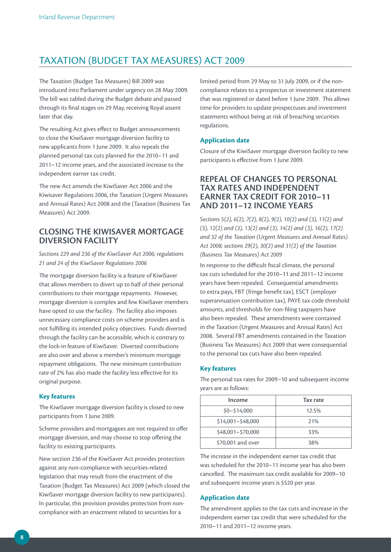## TAXATION (BUDGET TAX MEASURES) ACT 2009

The Taxation (Budget Tax Measures) Bill 2009 was introduced into Parliament under urgency on 28 May 2009. The bill was tabled during the Budget debate and passed through its final stages on 29 May, receiving Royal assent later that day.

The resulting Act gives effect to Budget announcements to close the KiwiSaver mortgage diversion facility to new applicants from 1 June 2009. It also repeals the planned personal tax cuts planned for the 2010–11 and 2011–12 income years, and the associated increase to the independent earner tax credit.

The new Act amends the KiwiSaver Act 2006 and the Kiwisaver Regulations 2006, the Taxation (Urgent Measures and Annual Rates) Act 2008 and the (Taxation (Business Tax Measures) Act 2009.

#### **CLOSING THE KIWISAVER MORTGAGE DIVERSION FACILITY**

*Sections 229 and 236 of the KiwiSaver Act 2006; regulations 21 and 24 of the KiwiSaver Regulations 2006*

The mortgage diversion facility is a feature of KiwiSaver that allows members to divert up to half of their personal contributions to their mortgage repayments. However, mortgage diversion is complex and few KiwiSaver members have opted to use the facility. The facility also imposes unnecessary compliance costs on scheme providers and is not fulfilling its intended policy objectives. Funds diverted through the facility can be accessible, which is contrary to the lock-in feature of KiwiSaver. Diverted contributions are also over and above a member's minimum mortgage repayment obligations. The new minimum contribution rate of 2% has also made the facility less effective for its original purpose.

#### **Key features**

The KiwiSaver mortgage diversion facility is closed to new participants from 1 June 2009.

Scheme providers and mortgagees are not required to offer mortgage diversion, and may choose to stop offering the facility to existing participants.

New section 236 of the KiwiSaver Act provides protection against any non-compliance with securities-related legislation that may result from the enactment of the Taxation (Budget Tax Measures) Act 2009 (which closed the KiwiSaver mortgage diversion facility to new participants). In particular, this provision provides protection from noncompliance with an enactment related to securities for a

limited period from 29 May to 31 July 2009, or if the noncompliance relates to a prospectus or investment statement that was registered or dated before 1 June 2009. This allows time for providers to update prospectuses and investment statements without being at risk of breaching securities regulations.

#### **Application date**

Closure of the KiwiSaver mortgage diversion facility to new participants is effective from 1 June 2009.

#### **REPEAL OF CHANGES TO PERSONAL TAX RATES AND INDEPENDENT EARNER TAX CREDIT FOR 2010–11 AND 2011–12 INCOME YEARS**

*Sections 5(2), 6(2), 7(2), 8(2), 9(2), 10(2) and (3), 11(2) and (3), 12(2) and (3), 13(2) and (3), 14(2) and (3), 16(2), 17(2) and 32 of the Taxation (Urgent Measures and Annual Rates) Act 2008; sections 29(2), 30(2) and 31(2) of the Taxation (Business Tax Measures) Act 2009*

In response to the difficult fiscal climate, the personal tax cuts scheduled for the 2010–11 and 2011–12 income years have been repealed. Consequential amendments to extra pays, FBT (fringe benefit tax), ESCT (employer superannuation contribution tax), PAYE tax code threshold amounts, and thresholds for non-filing taxpayers have also been repealed. These amendments were contained in the Taxation (Urgent Measures and Annual Rates) Act 2008. Several FBT amendments contained in the Taxation (Business Tax Measures) Act 2009 that were consequential to the personal tax cuts have also been repealed.

#### **Key features**

years are as follows: **Income Tax rate** \$0–\$14,000 12.5% \$14,001–\$48,000 21% \$48,001–\$70,000 33%

The personal tax rates for 2009–10 and subsequent income

The increase in the independent earner tax credit that was scheduled for the 2010–11 income year has also been cancelled. The maximum tax credit available for 2009–10 and subsequent income years is \$520 per year.

\$70,001 and over 38%

#### **Application date**

The amendment applies to the tax cuts and increase in the independent earner tax credit that were scheduled for the 2010–11 and 2011–12 income years.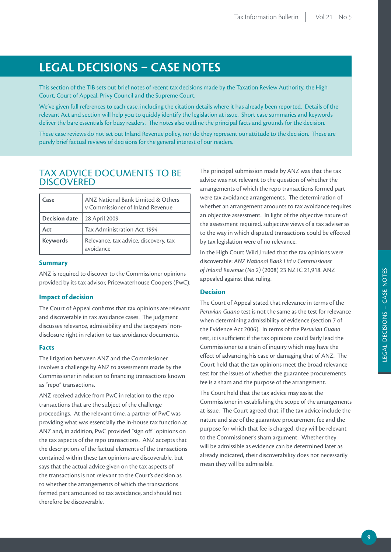# **LEGAL DECISIONS – CASE NOTES**

This section of the TIB sets out brief notes of recent tax decisions made by the Taxation Review Authority, the High Court, Court of Appeal, Privy Council and the Supreme Court.

We've given full references to each case, including the citation details where it has already been reported. Details of the relevant Act and section will help you to quickly identify the legislation at issue. Short case summaries and keywords deliver the bare essentials for busy readers. The notes also outline the principal facts and grounds for the decision.

These case reviews do not set out Inland Revenue policy, nor do they represent our attitude to the decision. These are purely brief factual reviews of decisions for the general interest of our readers.

## TAX ADVICE DOCUMENTS TO BE **DISCOVERED**

| Case                 | ANZ National Bank Limited & Others<br>v Commissioner of Inland Revenue |
|----------------------|------------------------------------------------------------------------|
| <b>Decision date</b> | 28 April 2009                                                          |
| Act                  | Tax Administration Act 1994                                            |
| <b>Keywords</b>      | Relevance, tax advice, discovery, tax<br>avoidance                     |

#### **Summary**

ANZ is required to discover to the Commissioner opinions provided by its tax advisor, Pricewaterhouse Coopers (PwC).

#### **Impact of decision**

The Court of Appeal confirms that tax opinions are relevant and discoverable in tax avoidance cases. The judgment discusses relevance, admissibility and the taxpayers' nondisclosure right in relation to tax avoidance documents.

#### **Facts**

The litigation between ANZ and the Commissioner involves a challenge by ANZ to assessments made by the Commissioner in relation to financing transactions known as "repo" transactions.

ANZ received advice from PwC in relation to the repo transactions that are the subject of the challenge proceedings. At the relevant time, a partner of PwC was providing what was essentially the in-house tax function at ANZ and, in addition, PwC provided "sign off" opinions on the tax aspects of the repo transactions. ANZ accepts that the descriptions of the factual elements of the transactions contained within these tax opinions are discoverable, but says that the actual advice given on the tax aspects of the transactions is not relevant to the Court's decision as to whether the arrangements of which the transactions formed part amounted to tax avoidance, and should not therefore be discoverable.

The principal submission made by ANZ was that the tax advice was not relevant to the question of whether the arrangements of which the repo transactions formed part were tax avoidance arrangements. The determination of whether an arrangement amounts to tax avoidance requires an objective assessment. In light of the objective nature of the assessment required, subjective views of a tax adviser as to the way in which disputed transactions could be effected by tax legislation were of no relevance.

In the High Court Wild J ruled that the tax opinions were discoverable: *ANZ National Bank Ltd v Commissioner of Inland Revenue (No 2)* (2008) 23 NZTC 21,918. ANZ appealed against that ruling.

#### **Decision**

The Court of Appeal stated that relevance in terms of the *Peruvian Guano* test is not the same as the test for relevance when determining admissibility of evidence (section 7 of the Evidence Act 2006). In terms of the *Peruvian Guano* test, it is sufficient if the tax opinions could fairly lead the Commissioner to a train of inquiry which may have the effect of advancing his case or damaging that of ANZ. The Court held that the tax opinions meet the broad relevance test for the issues of whether the guarantee procurements fee is a sham and the purpose of the arrangement.

The Court held that the tax advice may assist the Commissioner in establishing the scope of the arrangements at issue. The Court agreed that, if the tax advice include the nature and size of the guarantee procurement fee and the purpose for which that fee is charged, they will be relevant to the Commissioner's sham argument. Whether they will be admissible as evidence can be determined later as already indicated, their discoverability does not necessarily mean they will be admissible.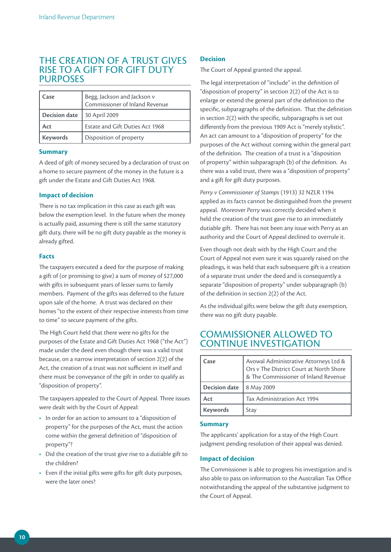## THE CREATION OF A TRUST GIVES RISE TO A GIFT FOR GIFT DUTY **PURPOSES**

| Case                 | Begg, Jackson and Jackson v<br>Commissioner of Inland Revenue |
|----------------------|---------------------------------------------------------------|
| <b>Decision date</b> | 30 April 2009                                                 |
| Act                  | Estate and Gift Duties Act 1968                               |
| Keywords             | Disposition of property                                       |

#### **Summary**

A deed of gift of money secured by a declaration of trust on a home to secure payment of the money in the future is a gift under the Estate and Gift Duties Act 1968.

#### **Impact of decision**

There is no tax implication in this case as each gift was below the exemption level. In the future when the money is actually paid, assuming there is still the same statutory gift duty, there will be no gift duty payable as the money is already gifted.

#### **Facts**

The taxpayers executed a deed for the purpose of making a gift of (or promising to give) a sum of money of \$27,000 with gifts in subsequent years of lesser sums to family members. Payment of the gifts was deferred to the future upon sale of the home. A trust was declared on their homes "to the extent of their respective interests from time to time" to secure payment of the gifts.

The High Court held that there were no gifts for the purposes of the Estate and Gift Duties Act 1968 ("the Act") made under the deed even though there was a valid trust because, on a narrow interpretation of section 2(2) of the Act, the creation of a trust was not sufficient in itself and there must be conveyance of the gift in order to qualify as "disposition of property".

The taxpayers appealed to the Court of Appeal. Three issues were dealt with by the Court of Appeal:

- In order for an action to amount to a "disposition of property" for the purposes of the Act, must the action come within the general definition of "disposition of property"?
- Did the creation of the trust give rise to a dutiable gift to the children?
- Even if the initial gifts were gifts for gift duty purposes, were the later ones?

#### **Decision**

The Court of Appeal granted the appeal.

The legal interpretation of "include" in the definition of "disposition of property" in section 2(2) of the Act is to enlarge or extend the general part of the definition to the specific, subparagraphs of the definition. That the definition in section 2(2) with the specific, subparagraphs is set out differently from the previous 1909 Act is "merely stylistic". An act can amount to a "disposition of property" for the purposes of the Act without coming within the general part of the definition. The creation of a trust is a "disposition of property" within subparagraph (b) of the definition. As there was a valid trust, there was a "disposition of property" and a gift for gift duty purposes.

*Perry v Commissioner of Stamps* (1913) 32 NZLR 1194 applied as its facts cannot be distinguished from the present appeal. Moreover *Perry* was correctly decided when it held the creation of the trust gave rise to an immediately dutiable gift. There has not been any issue with Perry as an authority and the Court of Appeal declined to overrule it.

Even though not dealt with by the High Court and the Court of Appeal not even sure it was squarely raised on the pleadings, it was held that each subsequent gift is a creation of a separate trust under the deed and is consequently a separate "disposition of property" under subparagraph (b) of the definition in section 2(2) of the Act.

As the individual gifts were below the gift duty exemption, there was no gift duty payable.

## COMMISSIONER ALLOWED TO CONTINUE INVESTIGATION

| Case                 | Avowal Administrative Attorneys Ltd &<br>Ors v The District Court at North Shore<br>& The Commissioner of Inland Revenue |
|----------------------|--------------------------------------------------------------------------------------------------------------------------|
| <b>Decision date</b> | 8 May 2009                                                                                                               |
| Act                  | Tax Administration Act 1994                                                                                              |
| <b>Keywords</b>      | Stay                                                                                                                     |

#### **Summary**

The applicants' application for a stay of the High Court judgment pending resolution of their appeal was denied.

#### **Impact of decision**

The Commissioner is able to progress his investigation and is also able to pass on information to the Australian Tax Office notwithstanding the appeal of the substantive judgment to the Court of Appeal.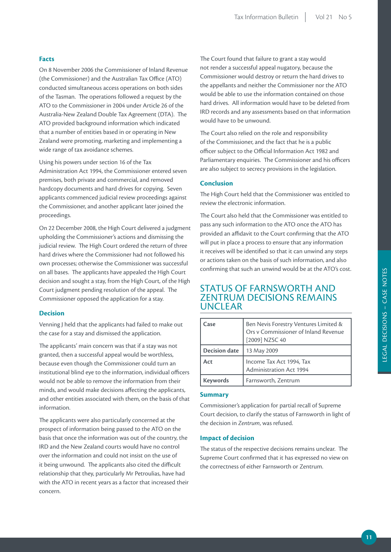#### **Facts**

On 8 November 2006 the Commissioner of Inland Revenue (the Commissioner) and the Australian Tax Office (ATO) conducted simultaneous access operations on both sides of the Tasman. The operations followed a request by the ATO to the Commissioner in 2004 under Article 26 of the Australia-New Zealand Double Tax Agreement (DTA). The ATO provided background information which indicated that a number of entities based in or operating in New Zealand were promoting, marketing and implementing a wide range of tax avoidance schemes.

Using his powers under section 16 of the Tax Administration Act 1994, the Commissioner entered seven premises, both private and commercial, and removed hardcopy documents and hard drives for copying. Seven applicants commenced judicial review proceedings against the Commissioner, and another applicant later joined the proceedings.

On 22 December 2008, the High Court delivered a judgment upholding the Commissioner's actions and dismissing the judicial review. The High Court ordered the return of three hard drives where the Commissioner had not followed his own processes; otherwise the Commissioner was successful on all bases. The applicants have appealed the High Court decision and sought a stay, from the High Court, of the High Court judgment pending resolution of the appeal. The Commissioner opposed the application for a stay.

#### **Decision**

Venning J held that the applicants had failed to make out the case for a stay and dismissed the application.

The applicants' main concern was that if a stay was not granted, then a successful appeal would be worthless, because even though the Commissioner could turn an institutional blind eye to the information, individual officers would not be able to remove the information from their minds, and would make decisions affecting the applicants, and other entities associated with them, on the basis of that information.

The applicants were also particularly concerned at the prospect of information being passed to the ATO on the basis that once the information was out of the country, the IRD and the New Zealand courts would have no control over the information and could not insist on the use of it being unwound. The applicants also cited the difficult relationship that they, particularly Mr Petroulias, have had with the ATO in recent years as a factor that increased their concern.

The Court found that failure to grant a stay would not render a successful appeal nugatory, because the Commissioner would destroy or return the hard drives to the appellants and neither the Commissioner nor the ATO would be able to use the information contained on those hard drives. All information would have to be deleted from IRD records and any assessments based on that information would have to be unwound.

The Court also relied on the role and responsibility of the Commissioner, and the fact that he is a public officer subject to the Official Information Act 1982 and Parliamentary enquiries. The Commissioner and his officers are also subject to secrecy provisions in the legislation.

#### **Conclusion**

The High Court held that the Commissioner was entitled to review the electronic information.

The Court also held that the Commissioner was entitled to pass any such information to the ATO once the ATO has provided an affidavit to the Court confirming that the ATO will put in place a process to ensure that any information it receives will be identified so that it can unwind any steps or actions taken on the basis of such information, and also confirming that such an unwind would be at the ATO's cost.

### STATUS OF FARNSWORTH AND ZENTRUM DECISIONS REMAINS UNCLEAR

| Case                 | Ben Nevis Forestry Ventures Limited &<br>Ors v Commissioner of Inland Revenue<br>[2009] NZSC 40 |
|----------------------|-------------------------------------------------------------------------------------------------|
| <b>Decision date</b> | 13 May 2009                                                                                     |
| Act                  | Income Tax Act 1994, Tax<br><b>Administration Act 1994</b>                                      |
| <b>Keywords</b>      | Farnsworth, Zentrum                                                                             |

#### **Summary**

Commissioner's application for partial recall of Supreme Court decision, to clarify the status of Farnsworth in light of the decision in *Zentrum*, was refused.

#### **Impact of decision**

The status of the respective decisions remains unclear. The Supreme Court confirmed that it has expressed no view on the correctness of either Farnsworth or Zentrum.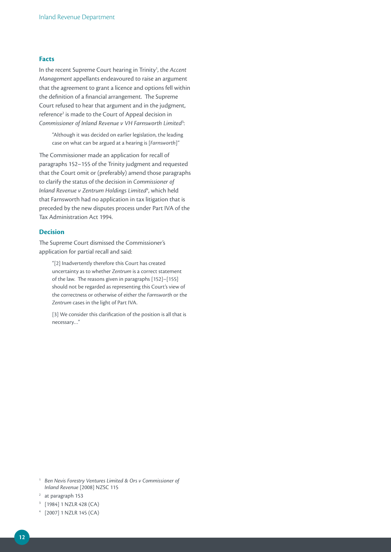#### **Facts**

In the recent Supreme Court hearing in Trinity<sup>1</sup>, the Accent *Management* appellants endeavoured to raise an argument that the agreement to grant a licence and options fell within the definition of a financial arrangement. The Supreme Court refused to hear that argument and in the judgment, reference<sup>2</sup> is made to the Court of Appeal decision in *Commissioner of Inland Revenue v VH Farnsworth Limited*<sup>3</sup> :

"Although it was decided on earlier legislation, the leading case on what can be argued at a hearing is [*Farnsworth*]"

The Commissioner made an application for recall of paragraphs 152–155 of the Trinity judgment and requested that the Court omit or (preferably) amend those paragraphs to clarify the status of the decision in *Commissioner of*  Inland Revenue v Zentrum Holdings Limited<sup>4</sup>, which held that Farnsworth had no application in tax litigation that is preceded by the new disputes process under Part IVA of the Tax Administration Act 1994.

#### **Decision**

The Supreme Court dismissed the Commissioner's application for partial recall and said:

"[2] Inadvertently therefore this Court has created uncertainty as to whether *Zentrum* is a correct statement of the law. The reasons given in paragraphs [152]–[155] should not be regarded as representing this Court's view of the correctness or otherwise of either the *Farnsworth* or the *Zentrum* cases in the light of Part IVA.

[3] We consider this clarification of the position is all that is necessary…"

- <sup>1</sup> *Ben Nevis Forestry Ventures Limited & Ors v Commissioner of Inland Revenue* [2008] NZSC 115
- <sup>2</sup> at paragraph 153
- <sup>3</sup> [1984] 1 NZLR 428 (CA)
- <sup>4</sup> [2007] 1 NZLR 145 (CA)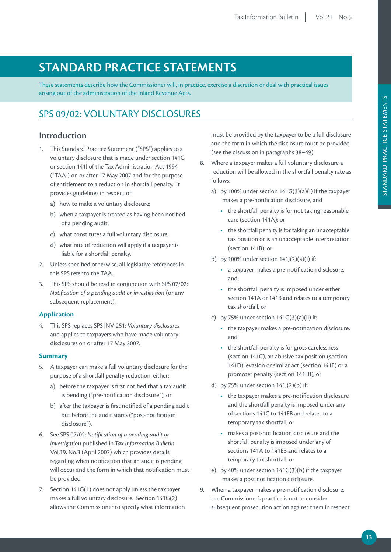# **STANDARD PRACTICE STATEMENTS**

These statements describe how the Commissioner will, in practice, exercise a discretion or deal with practical issues arising out of the administration of the Inland Revenue Acts.

## SPS 09/02: VOLUNTARY DISCLOSURES

#### **Introduction**

- 1. This Standard Practice Statement ("SPS") applies to a voluntary disclosure that is made under section 141G or section 141J of the Tax Administration Act 1994 ("TAA") on or after 17 May 2007 and for the purpose of entitlement to a reduction in shortfall penalty. It provides guidelines in respect of:
	- a) how to make a voluntary disclosure;
	- b) when a taxpayer is treated as having been notified of a pending audit;
	- c) what constitutes a full voluntary disclosure;
	- d) what rate of reduction will apply if a taxpayer is liable for a shortfall penalty.
- 2. Unless specified otherwise, all legislative references in this SPS refer to the TAA.
- 3. This SPS should be read in conjunction with SPS 07/02: *Notification of a pending audit or investigation* (or any subsequent replacement).

#### **Application**

4. This SPS replaces SPS INV-251: *Voluntary disclosures* and applies to taxpayers who have made voluntary disclosures on or after 17 May 2007.

#### **Summary**

- 5. A taxpayer can make a full voluntary disclosure for the purpose of a shortfall penalty reduction, either:
	- a) before the taxpayer is first notified that a tax audit is pending ("pre-notification disclosure"), or
	- b) after the taxpayer is first notified of a pending audit but before the audit starts ("post-notification disclosure").
- 6. See SPS 07/02: *Notification of a pending audit or investigation* published in *Tax Information Bulletin* Vol.19, No.3 (April 2007) which provides details regarding when notification that an audit is pending will occur and the form in which that notification must be provided.
- 7. Section 141G(1) does not apply unless the taxpayer makes a full voluntary disclosure. Section 141G(2) allows the Commissioner to specify what information

must be provided by the taxpayer to be a full disclosure and the form in which the disclosure must be provided (see the discussion in paragraphs 38–49).

- 8. Where a taxpayer makes a full voluntary disclosure a reduction will be allowed in the shortfall penalty rate as follows:
	- a) by 100% under section  $141G(3)(a)(i)$  if the taxpayer makes a pre-notification disclosure, and
		- the shortfall penalty is for not taking reasonable care (section 141A); or
		- the shortfall penalty is for taking an unacceptable tax position or is an unacceptable interpretation (section 141B); or
	- b) by 100% under section  $141/(2)(a)(i)$  if:
		- a taxpayer makes a pre-notification disclosure, and
		- the shortfall penalty is imposed under either section 141A or 141B and relates to a temporary tax shortfall, or
	- c) by 75% under section  $141G(3)(a)(ii)$  if:
		- the taxpayer makes a pre-notification disclosure, and
		- the shortfall penalty is for gross carelessness (section 141C), an abusive tax position (section 141D), evasion or similar act (section 141E) or a promoter penalty (section 141EB), or
	- d) by 75% under section  $141(2)(b)$  if:
		- the taxpayer makes a pre-notification disclosure and the shortfall penalty is imposed under any of sections 141C to 141EB and relates to a temporary tax shortfall, or
		- makes a post-notification disclosure and the shortfall penalty is imposed under any of sections 141A to 141EB and relates to a temporary tax shortfall, or
	- e) by 40% under section 141G(3)(b) if the taxpayer makes a post notification disclosure.
- 9. When a taxpayer makes a pre-notification disclosure, the Commissioner's practice is not to consider subsequent prosecution action against them in respect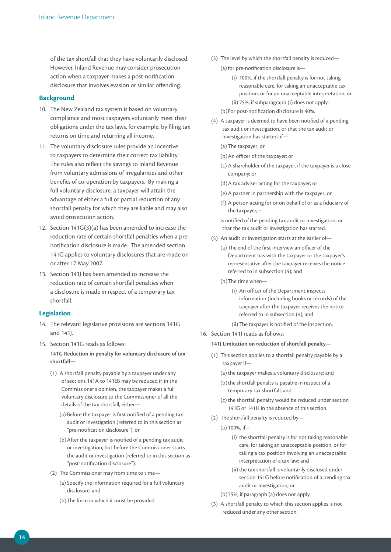of the tax shortfall that they have voluntarily disclosed. However, Inland Revenue may consider prosecution action when a taxpayer makes a post-notification disclosure that involves evasion or similar offending.

#### **Background**

- 10. The New Zealand tax system is based on voluntary compliance and most taxpayers voluntarily meet their obligations under the tax laws, for example, by filing tax returns on time and returning all income.
- 11. The voluntary disclosure rules provide an incentive to taxpayers to determine their correct tax liability. The rules also reflect the savings to Inland Revenue from voluntary admissions of irregularities and other benefits of co-operation by taxpayers. By making a full voluntary disclosure, a taxpayer will attain the advantage of either a full or partial reduction of any shortfall penalty for which they are liable and may also avoid prosecution action.
- 12. Section 141G(3)(a) has been amended to increase the reduction rate of certain shortfall penalties when a prenotification disclosure is made. The amended section 141G applies to voluntary disclosures that are made on or after 17 May 2007.
- 13. Section 141J has been amended to increase the reduction rate of certain shortfall penalties when a disclosure is made in respect of a temporary tax shortfall.

#### **Legislation**

- 14. The relevant legislative provisions are sections 141G and 141J.
- 15. Section 141G reads as follows:

**141G Reduction in penalty for voluntary disclosure of tax shortfall—**

- (1) A shortfall penalty payable by a taxpayer under any of sections 141A to 141EB may be reduced if, in the Commissioner's opinion, the taxpayer makes a full voluntary disclosure to the Commissioner of all the details of the tax shortfall, either—
	- (a) Before the taxpayer is first notified of a pending tax audit or investigation (referred to in this section as "pre-notification disclosure"); or
	- (b)After the taxpayer is notified of a pending tax audit or investigation, but before the Commissioner starts the audit or investigation (referred to in this section as "post-notification disclosure").
- (2) The Commissioner may from time to time—
	- (a) Specify the information required for a full voluntary disclosure; and
	- (b)The form in which it must be provided.
- (3) The level by which the shortfall penalty is reduced—
	- (a) for pre-notification disclosure is—
		- (i) 100%, if the shortfall penalty is for not taking reasonable care, for taking an unacceptable tax position, or for an unacceptable interpretation; or (ii) 75%, if subparagraph (i) does not apply:
	- (b)For post-notification disclosure is 40%.
- (4) A taxpayer is deemed to have been notified of a pending tax audit or investigation, or that the tax audit or investigation has started, if—
	- (a) The taxpayer; or
	- (b)An officer of the taxpayer; or
	- (c) A shareholder of the taxpayer, if the taxpayer is a close company; or
	- (d)A tax adviser acting for the taxpayer; or
	- (e) A partner in partnership with the taxpayer; or
	- (f) A person acting for or on behalf of or as a fiduciary of the taxpayer,—

is notified of the pending tax audit or investigation, or that the tax audit or investigation has started.

- (5) An audit or investigation starts at the earlier of—
	- (a) The end of the first interview an officer of the Department has with the taxpayer or the taxpayer's representative after the taxpayer receives the notice referred to in subsection (4); and
	- (b)The time when—
		- (i) An officer of the Department inspects information (including books or records) of the taxpayer after the taxpayer receives the notice referred to in subsection (4); and
		- (ii) The taxpayer is notified of the inspection.
- 16. Section 141J reads as follows:

#### **141J Limitation on reduction of shortfall penalty—**

- (1) This section applies to a shortfall penalty payable by a taxpayer if—
	- (a) the taxpayer makes a voluntary disclosure; and
	- (b) the shortfall penalty is payable in respect of a temporary tax shortfall; and
	- (c) the shortfall penalty would be reduced under section 141G or 141H in the absence of this section.
- (2) The shortfall penalty is reduced by—
	- (a) 100%, if—
		- (i) the shortfall penalty is for not taking reasonable care, for taking an unacceptable position, or for taking a tax position involving an unacceptable interpretation of a tax law; and
		- (ii) the tax shortfall is voluntarily disclosed under section 141G before notification of a pending tax audit or investigation; or
	- (b)75%, if paragraph (a) does not apply.
- (3) A shortfall penalty to which this section applies is not reduced under any other section.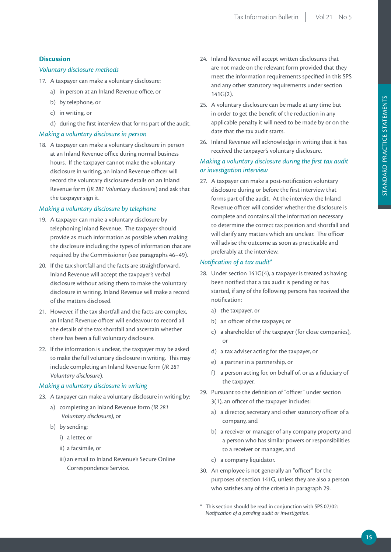#### **Discussion**

#### *Voluntary disclosure methods*

- 17. A taxpayer can make a voluntary disclosure:
	- a) in person at an Inland Revenue office, or
	- b) by telephone, or
	- c) in writing, or
	- d) during the first interview that forms part of the audit.

#### *Making a voluntary disclosure in person*

18. A taxpayer can make a voluntary disclosure in person at an Inland Revenue office during normal business hours. If the taxpayer cannot make the voluntary disclosure in writing, an Inland Revenue officer will record the voluntary disclosure details on an Inland Revenue form (*IR 281 Voluntary disclosure*) and ask that the taxpayer sign it.

#### *Making a voluntary disclosure by telephone*

- 19. A taxpayer can make a voluntary disclosure by telephoning Inland Revenue. The taxpayer should provide as much information as possible when making the disclosure including the types of information that are required by the Commissioner (see paragraphs 46–49).
- 20. If the tax shortfall and the facts are straightforward, Inland Revenue will accept the taxpayer's verbal disclosure without asking them to make the voluntary disclosure in writing. Inland Revenue will make a record of the matters disclosed.
- 21. However, if the tax shortfall and the facts are complex, an Inland Revenue officer will endeavour to record all the details of the tax shortfall and ascertain whether there has been a full voluntary disclosure.
- 22. If the information is unclear, the taxpayer may be asked to make the full voluntary disclosure in writing. This may include completing an Inland Revenue form (*IR 281 Voluntary disclosure*).

#### *Making a voluntary disclosure in writing*

- 23. A taxpayer can make a voluntary disclosure in writing by:
	- a) completing an Inland Revenue form *(IR 281 Voluntary disclosure)*, or
	- b) by sending:
		- i) a letter, or
		- ii) a facsimile, or
		- iii) an email to Inland Revenue's Secure Online Correspondence Service.
- 24. Inland Revenue will accept written disclosures that are not made on the relevant form provided that they meet the information requirements specified in this SPS and any other statutory requirements under section 141G(2).
- 25. A voluntary disclosure can be made at any time but in order to get the benefit of the reduction in any applicable penalty it will need to be made by or on the date that the tax audit starts.
- 26. Inland Revenue will acknowledge in writing that it has received the taxpayer's voluntary disclosure.

#### *Making a voluntary disclosure during the first tax audit or investigation interview*

27. A taxpayer can make a post-notification voluntary disclosure during or before the first interview that forms part of the audit. At the interview the Inland Revenue officer will consider whether the disclosure is complete and contains all the information necessary to determine the correct tax position and shortfall and will clarify any matters which are unclear. The officer will advise the outcome as soon as practicable and preferably at the interview.

#### *Notification of a tax audit\**

- 28. Under section 141G(4), a taxpayer is treated as having been notified that a tax audit is pending or has started, if any of the following persons has received the notification:
	- a) the taxpayer, or
	- b) an officer of the taxpayer, or
	- c) a shareholder of the taxpayer (for close companies), or
	- d) a tax adviser acting for the taxpayer, or
	- e) a partner in a partnership, or
	- f) a person acting for, on behalf of, or as a fiduciary of the taxpayer.
- 29. Pursuant to the definition of "officer" under section 3(1), an officer of the taxpayer includes:
	- a) a director, secretary and other statutory officer of a company, and
	- b) a receiver or manager of any company property and a person who has similar powers or responsibilities to a receiver or manager, and
	- c) a company liquidator.
- 30. An employee is not generally an "officer" for the purposes of section 141G, unless they are also a person who satisfies any of the criteria in paragraph 29.
- This section should be read in conjunction with SPS 07/02: *Notification of a pending audit or investigation*.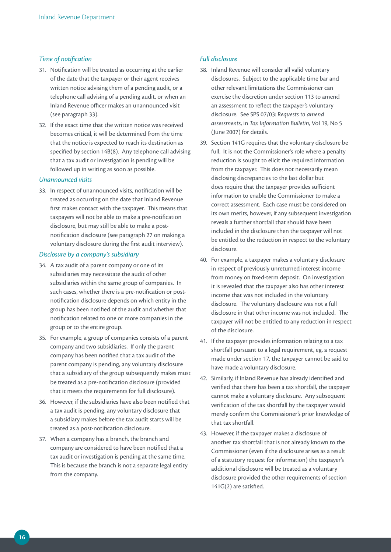#### *Time of notification*

- 31. Notification will be treated as occurring at the earlier of the date that the taxpayer or their agent receives written notice advising them of a pending audit, or a telephone call advising of a pending audit, or when an Inland Revenue officer makes an unannounced visit (see paragraph 33).
- 32. If the exact time that the written notice was received becomes critical, it will be determined from the time that the notice is expected to reach its destination as specified by section 14B(8). Any telephone call advising that a tax audit or investigation is pending will be followed up in writing as soon as possible.

#### *Unannounced visits*

33. In respect of unannounced visits, notification will be treated as occurring on the date that Inland Revenue first makes contact with the taxpayer. This means that taxpayers will not be able to make a pre-notification disclosure, but may still be able to make a postnotification disclosure (see paragraph 27 on making a voluntary disclosure during the first audit interview).

#### *Disclosure by a company's subsidiary*

- 34. A tax audit of a parent company or one of its subsidiaries may necessitate the audit of other subsidiaries within the same group of companies. In such cases, whether there is a pre-notification or postnotification disclosure depends on which entity in the group has been notified of the audit and whether that notification related to one or more companies in the group or to the entire group.
- 35. For example, a group of companies consists of a parent company and two subsidiaries. If only the parent company has been notified that a tax audit of the parent company is pending, any voluntary disclosure that a subsidiary of the group subsequently makes must be treated as a pre-notification disclosure (provided that it meets the requirements for full disclosure).
- 36. However, if the subsidiaries have also been notified that a tax audit is pending, any voluntary disclosure that a subsidiary makes before the tax audit starts will be treated as a post-notification disclosure.
- 37. When a company has a branch, the branch and company are considered to have been notified that a tax audit or investigation is pending at the same time. This is because the branch is not a separate legal entity from the company.

#### *Full disclosure*

- 38. Inland Revenue will consider all valid voluntary disclosures. Subject to the applicable time bar and other relevant limitations the Commissioner can exercise the discretion under section 113 to amend an assessment to reflect the taxpayer's voluntary disclosure. See SPS 07/03: *Requests to amend assessments*, in *Tax Information Bulletin*, Vol 19, No 5 (June 2007) for details.
- 39. Section 141G requires that the voluntary disclosure be full. It is not the Commissioner's role where a penalty reduction is sought to elicit the required information from the taxpayer. This does not necessarily mean disclosing discrepancies to the last dollar but does require that the taxpayer provides sufficient information to enable the Commissioner to make a correct assessment. Each case must be considered on its own merits, however, if any subsequent investigation reveals a further shortfall that should have been included in the disclosure then the taxpayer will not be entitled to the reduction in respect to the voluntary disclosure.
- 40. For example, a taxpayer makes a voluntary disclosure in respect of previously unreturned interest income from money on fixed-term deposit. On investigation it is revealed that the taxpayer also has other interest income that was not included in the voluntary disclosure. The voluntary disclosure was not a full disclosure in that other income was not included. The taxpayer will not be entitled to any reduction in respect of the disclosure.
- 41. If the taxpayer provides information relating to a tax shortfall pursuant to a legal requirement, eg, a request made under section 17, the taxpayer cannot be said to have made a voluntary disclosure.
- 42. Similarly, if Inland Revenue has already identified and verified that there has been a tax shortfall, the taxpayer cannot make a voluntary disclosure. Any subsequent verification of the tax shortfall by the taxpayer would merely confirm the Commissioner's prior knowledge of that tax shortfall.
- 43. However, if the taxpayer makes a disclosure of another tax shortfall that is not already known to the Commissioner (even if the disclosure arises as a result of a statutory request for information) the taxpayer's additional disclosure will be treated as a voluntary disclosure provided the other requirements of section 141G(2) are satisfied.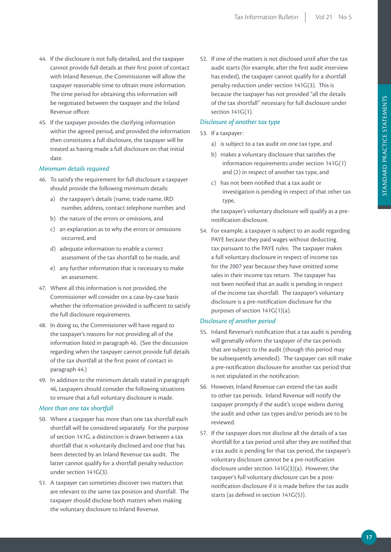- 44. If the disclosure is not fully detailed, and the taxpayer cannot provide full details at their first point of contact with Inland Revenue, the Commissioner will allow the taxpayer reasonable time to obtain more information. The time period for obtaining this information will be negotiated between the taxpayer and the Inland Revenue officer.
- 45. If the taxpayer provides the clarifying information within the agreed period, and provided the information then constitutes a full disclosure, the taxpayer will be treated as having made a full disclosure on that initial date.

#### *Minimum details required*

- 46. To satisfy the requirement for full disclosure a taxpayer should provide the following minimum details:
	- a) the taxpayer's details (name, trade name, IRD number, address, contact telephone number, and
	- b) the nature of the errors or omissions, and
	- c) an explanation as to why the errors or omissions occurred, and
	- d) adequate information to enable a correct assessment of the tax shortfall to be made, and
	- e) any further information that is necessary to make an assessment.
- 47. Where all this information is not provided, the Commissioner will consider on a case-by-case basis whether the information provided is sufficient to satisfy the full disclosure requirements.
- 48. In doing so, the Commissioner will have regard to the taxpayer's reasons for not providing all of the information listed in paragraph 46. (See the discussion regarding when the taxpayer cannot provide full details of the tax shortfall at the first point of contact in paragraph 44.)
- 49. In addition to the minimum details stated in paragraph 46, taxpayers should consider the following situations to ensure that a full voluntary disclosure is made.

#### *More than one tax shortfall*

- 50. Where a taxpayer has more than one tax shortfall each shortfall will be considered separately. For the purpose of section 141G, a distinction is drawn between a tax shortfall that is voluntarily disclosed and one that has been detected by an Inland Revenue tax audit. The latter cannot qualify for a shortfall penalty reduction under section 141G(3).
- 51. A taxpayer can sometimes discover two matters that are relevant to the same tax position and shortfall. The taxpayer should disclose both matters when making the voluntary disclosure to Inland Revenue.

52. If one of the matters is not disclosed until after the tax audit starts (for example, after the first audit interview has ended), the taxpayer cannot qualify for a shortfall penalty reduction under section 141G(3). This is because the taxpayer has not provided "all the details of the tax shortfall" necessary for full disclosure under section 141G(1).

#### *Disclosure of another tax type*

- 53. If a taxpayer:
	- a) is subject to a tax audit on one tax type, and
	- b) makes a voluntary disclosure that satisfies the information requirements under section 141G(1) and (2) in respect of another tax type, and
	- c) has not been notified that a tax audit or investigation is pending in respect of that other tax type,

the taxpayer's voluntary disclosure will qualify as a prenotification disclosure.

54. For example, a taxpayer is subject to an audit regarding PAYE because they paid wages without deducting tax pursuant to the PAYE rules. The taxpayer makes a full voluntary disclosure in respect of income tax for the 2007 year because they have omitted some sales in their income tax return. The taxpayer has not been notified that an audit is pending in respect of the income tax shortfall. The taxpayer's voluntary disclosure is a pre-notification disclosure for the purposes of section 141G(1)(a).

#### *Disclosure of another period*

- 55. Inland Revenue's notification that a tax audit is pending will generally inform the taxpayer of the tax periods that are subject to the audit (though this period may be subsequently amended). The taxpayer can still make a pre-notification disclosure for another tax period that is not stipulated in the notification.
- 56. However, Inland Revenue can extend the tax audit to other tax periods. Inland Revenue will notify the taxpayer promptly if the audit's scope widens during the audit and other tax types and/or periods are to be reviewed.
- 57. If the taxpayer does not disclose all the details of a tax shortfall for a tax period until after they are notified that a tax audit is pending for that tax period, the taxpayer's voluntary disclosure cannot be a pre-notification disclosure under section 141G(3)(a). However, the taxpayer's full voluntary disclosure can be a postnotification disclosure if it is made before the tax audit starts (as defined in section 141G(5)).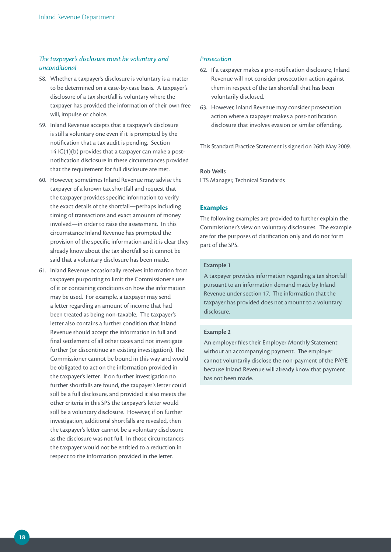#### *The taxpayer's disclosure must be voluntary and unconditional*

- 58. Whether a taxpayer's disclosure is voluntary is a matter to be determined on a case-by-case basis. A taxpayer's disclosure of a tax shortfall is voluntary where the taxpayer has provided the information of their own free will, impulse or choice.
- 59. Inland Revenue accepts that a taxpayer's disclosure is still a voluntary one even if it is prompted by the notification that a tax audit is pending. Section 141G(1)(b) provides that a taxpayer can make a postnotification disclosure in these circumstances provided that the requirement for full disclosure are met.
- 60. However, sometimes Inland Revenue may advise the taxpayer of a known tax shortfall and request that the taxpayer provides specific information to verify the exact details of the shortfall—perhaps including timing of transactions and exact amounts of money involved—in order to raise the assessment. In this circumstance Inland Revenue has prompted the provision of the specific information and it is clear they already know about the tax shortfall so it cannot be said that a voluntary disclosure has been made.
- 61. Inland Revenue occasionally receives information from taxpayers purporting to limit the Commissioner's use of it or containing conditions on how the information may be used. For example, a taxpayer may send a letter regarding an amount of income that had been treated as being non-taxable. The taxpayer's letter also contains a further condition that Inland Revenue should accept the information in full and final settlement of all other taxes and not investigate further (or discontinue an existing investigation). The Commissioner cannot be bound in this way and would be obligated to act on the information provided in the taxpayer's letter. If on further investigation no further shortfalls are found, the taxpayer's letter could still be a full disclosure, and provided it also meets the other criteria in this SPS the taxpayer's letter would still be a voluntary disclosure. However, if on further investigation, additional shortfalls are revealed, then the taxpayer's letter cannot be a voluntary disclosure as the disclosure was not full. In those circumstances the taxpayer would not be entitled to a reduction in respect to the information provided in the letter.

#### *Prosecution*

- 62. If a taxpayer makes a pre-notification disclosure, Inland Revenue will not consider prosecution action against them in respect of the tax shortfall that has been voluntarily disclosed.
- 63. However, Inland Revenue may consider prosecution action where a taxpayer makes a post-notification disclosure that involves evasion or similar offending.

This Standard Practice Statement is signed on 26th May 2009.

#### **Rob Wells**

LTS Manager, Technical Standards

#### **Examples**

The following examples are provided to further explain the Commissioner's view on voluntary disclosures. The example are for the purposes of clarification only and do not form part of the SPS.

#### **Example 1**

A taxpayer provides information regarding a tax shortfall pursuant to an information demand made by Inland Revenue under section 17. The information that the taxpayer has provided does not amount to a voluntary disclosure.

#### **Example 2**

An employer files their Employer Monthly Statement without an accompanying payment. The employer cannot voluntarily disclose the non-payment of the PAYE because Inland Revenue will already know that payment has not been made.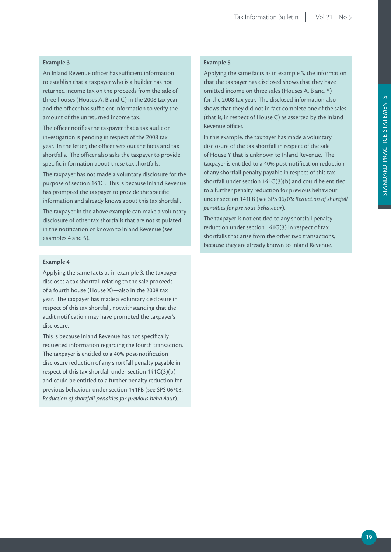#### **Example 3**

An Inland Revenue officer has sufficient information to establish that a taxpayer who is a builder has not returned income tax on the proceeds from the sale of three houses (Houses A, B and C) in the 2008 tax year and the officer has sufficient information to verify the amount of the unreturned income tax.

The officer notifies the taxpayer that a tax audit or investigation is pending in respect of the 2008 tax year. In the letter, the officer sets out the facts and tax shortfalls. The officer also asks the taxpayer to provide specific information about these tax shortfalls.

The taxpayer has not made a voluntary disclosure for the purpose of section 141G. This is because Inland Revenue has prompted the taxpayer to provide the specific information and already knows about this tax shortfall.

The taxpayer in the above example can make a voluntary disclosure of other tax shortfalls that are not stipulated in the notification or known to Inland Revenue (see examples 4 and 5).

#### **Example 4**

Applying the same facts as in example 3, the taxpayer discloses a tax shortfall relating to the sale proceeds of a fourth house (House X)—also in the 2008 tax year. The taxpayer has made a voluntary disclosure in respect of this tax shortfall, notwithstanding that the audit notification may have prompted the taxpayer's disclosure.

This is because Inland Revenue has not specifically requested information regarding the fourth transaction. The taxpayer is entitled to a 40% post-notification disclosure reduction of any shortfall penalty payable in respect of this tax shortfall under section 141G(3)(b) and could be entitled to a further penalty reduction for previous behaviour under section 141FB (see SPS 06/03: *Reduction of shortfall penalties for previous behaviour*).

#### **Example 5**

Applying the same facts as in example 3, the information that the taxpayer has disclosed shows that they have omitted income on three sales (Houses A, B and Y) for the 2008 tax year. The disclosed information also shows that they did not in fact complete one of the sales (that is, in respect of House C) as asserted by the Inland Revenue officer.

In this example, the taxpayer has made a voluntary disclosure of the tax shortfall in respect of the sale of House Y that is unknown to Inland Revenue. The taxpayer is entitled to a 40% post-notification reduction of any shortfall penalty payable in respect of this tax shortfall under section 141G(3)(b) and could be entitled to a further penalty reduction for previous behaviour under section 141FB (see SPS 06/03: *Reduction of shortfall penalties for previous behaviour*).

The taxpayer is not entitled to any shortfall penalty reduction under section 141G(3) in respect of tax shortfalls that arise from the other two transactions, because they are already known to Inland Revenue.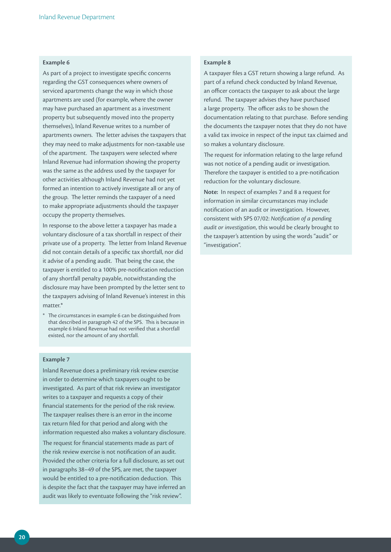#### **Example 6**

As part of a project to investigate specific concerns regarding the GST consequences where owners of serviced apartments change the way in which those apartments are used (for example, where the owner may have purchased an apartment as a investment property but subsequently moved into the property themselves), Inland Revenue writes to a number of apartments owners. The letter advises the taxpayers that they may need to make adjustments for non-taxable use of the apartment. The taxpayers were selected where Inland Revenue had information showing the property was the same as the address used by the taxpayer for other activities although Inland Revenue had not yet formed an intention to actively investigate all or any of the group. The letter reminds the taxpayer of a need to make appropriate adjustments should the taxpayer occupy the property themselves.

In response to the above letter a taxpayer has made a voluntary disclosure of a tax shortfall in respect of their private use of a property. The letter from Inland Revenue did not contain details of a specific tax shortfall, nor did it advise of a pending audit. That being the case, the taxpayer is entitled to a 100% pre-notification reduction of any shortfall penalty payable, notwithstanding the disclosure may have been prompted by the letter sent to the taxpayers advising of Inland Revenue's interest in this matter.\*

\* The circumstances in example 6 can be distinguished from that described in paragraph 42 of the SPS. This is because in example 6 Inland Revenue had not verified that a shortfall existed, nor the amount of any shortfall.

#### **Example 7**

Inland Revenue does a preliminary risk review exercise in order to determine which taxpayers ought to be investigated. As part of that risk review an investigator writes to a taxpayer and requests a copy of their financial statements for the period of the risk review. The taxpayer realises there is an error in the income tax return filed for that period and along with the information requested also makes a voluntary disclosure. The request for financial statements made as part of the risk review exercise is not notification of an audit. Provided the other criteria for a full disclosure, as set out in paragraphs 38–49 of the SPS, are met, the taxpayer would be entitled to a pre-notification deduction. This is despite the fact that the taxpayer may have inferred an audit was likely to eventuate following the "risk review".

#### **Example 8**

A taxpayer files a GST return showing a large refund. As part of a refund check conducted by Inland Revenue, an officer contacts the taxpayer to ask about the large refund. The taxpayer advises they have purchased a large property. The officer asks to be shown the documentation relating to that purchase. Before sending the documents the taxpayer notes that they do not have a valid tax invoice in respect of the input tax claimed and so makes a voluntary disclosure.

The request for information relating to the large refund was not notice of a pending audit or investigation. Therefore the taxpayer is entitled to a pre-notification reduction for the voluntary disclosure.

**Note:** In respect of examples 7 and 8 a request for information in similar circumstances may include notification of an audit or investigation. However, consistent with SPS 07/02: *Notification of a pending audit or investigation*, this would be clearly brought to the taxpayer's attention by using the words "audit" or "investigation".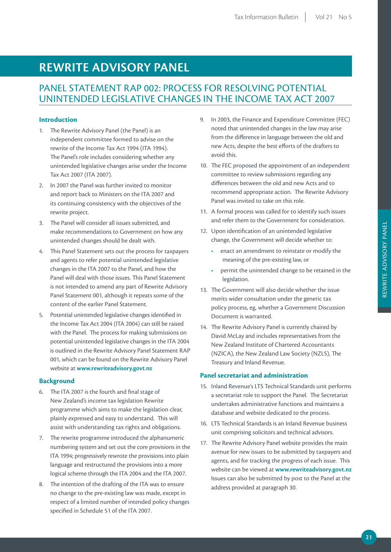# **REWRITE ADVISORY PANEL**

## PANEL STATEMENT RAP 002: PROCESS FOR RESOLVING POTENTIAL UNINTENDED LEGISLATIVE CHANGES IN THE INCOME TAX ACT 2007

#### **Introduction**

- 1. The Rewrite Advisory Panel (the Panel) is an independent committee formed to advise on the rewrite of the Income Tax Act 1994 (ITA 1994). The Panel's role includes considering whether any unintended legislative changes arise under the Income Tax Act 2007 (ITA 2007).
- 2. In 2007 the Panel was further invited to monitor and report back to Ministers on the ITA 2007 and its continuing consistency with the objectives of the rewrite project.
- 3. The Panel will consider all issues submitted, and make recommendations to Government on how any unintended changes should be dealt with.
- 4. This Panel Statement sets out the process for taxpayers and agents to refer potential unintended legislative changes in the ITA 2007 to the Panel, and how the Panel will deal with those issues. This Panel Statement is not intended to amend any part of Rewrite Advisory Panel Statement 001, although it repeats some of the content of the earlier Panel Statement.
- 5. Potential unintended legislative changes identified in the Income Tax Act 2004 (ITA 2004) can still be raised with the Panel. The process for making submissions on potential unintended legislative changes in the ITA 2004 is outlined in the Rewrite Advisory Panel Statement RAP 001, which can be found on the Rewrite Advisory Panel website at **www.rewriteadvisory.govt.nz**

#### **Background**

- 6. The ITA 2007 is the fourth and final stage of New Zealand's income tax legislation Rewrite programme which aims to make the legislation clear, plainly expressed and easy to understand. This will assist with understanding tax rights and obligations.
- 7. The rewrite programme introduced the alphanumeric numbering system and set out the core provisions in the ITA 1994; progressively rewrote the provisions into plain language and restructured the provisions into a more logical scheme through the ITA 2004 and the ITA 2007.
- 8. The intention of the drafting of the ITA was to ensure no change to the pre-existing law was made, except in respect of a limited number of intended policy changes specified in Schedule 51 of the ITA 2007.
- 9. In 2003, the Finance and Expenditure Committee (FEC) noted that unintended changes in the law may arise from the difference in language between the old and new Acts, despite the best efforts of the drafters to avoid this.
- 10. The FEC proposed the appointment of an independent committee to review submissions regarding any differences between the old and new Acts and to recommend appropriate action. The Rewrite Advisory Panel was invited to take on this role.
- 11. A formal process was called for to identify such issues and refer them to the Government for consideration.
- 12. Upon identification of an unintended legislative change, the Government will decide whether to:
	- enact an amendment to reinstate or modify the meaning of the pre-existing law, or
	- permit the unintended change to be retained in the legislation.
- 13. The Government will also decide whether the issue merits wider consultation under the generic tax policy process, eg, whether a Government Discussion Document is warranted.
- 14. The Rewrite Advisory Panel is currently chaired by David McLay and includes representatives from the New Zealand Institute of Chartered Accountants (NZICA), the New Zealand Law Society (NZLS), The Treasury and Inland Revenue.

#### **Panel secretariat and administration**

- 15. Inland Revenue's LTS Technical Standards unit performs a secretariat role to support the Panel. The Secretariat undertakes administrative functions and maintains a database and website dedicated to the process.
- 16. LTS Technical Standards is an Inland Revenue business unit comprising solicitors and technical advisors.
- 17. The Rewrite Advisory Panel website provides the main avenue for new issues to be submitted by taxpayers and agents, and for tracking the progress of each issue. This website can be viewed at **www.rewriteadvisory.govt.nz**  Issues can also be submitted by post to the Panel at the address provided at paragraph 30.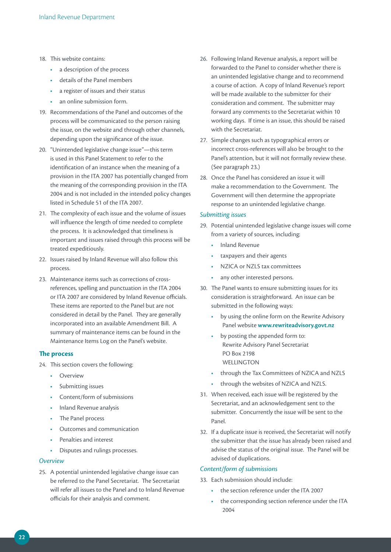#### 18. This website contains:

- a description of the process
- details of the Panel members
- a register of issues and their status
- an online submission form.
- 19. Recommendations of the Panel and outcomes of the process will be communicated to the person raising the issue, on the website and through other channels, depending upon the significance of the issue.
- 20. "Unintended legislative change issue"—this term is used in this Panel Statement to refer to the identification of an instance when the meaning of a provision in the ITA 2007 has potentially changed from the meaning of the corresponding provision in the ITA 2004 and is not included in the intended policy changes listed in Schedule 51 of the ITA 2007.
- 21. The complexity of each issue and the volume of issues will influence the length of time needed to complete the process. It is acknowledged that timeliness is important and issues raised through this process will be treated expeditiously.
- 22. Issues raised by Inland Revenue will also follow this process.
- 23. Maintenance items such as corrections of crossreferences, spelling and punctuation in the ITA 2004 or ITA 2007 are considered by Inland Revenue officials. These items are reported to the Panel but are not considered in detail by the Panel. They are generally incorporated into an available Amendment Bill. A summary of maintenance items can be found in the Maintenance Items Log on the Panel's website.

#### **The process**

- 24. This section covers the following:
	- Overview
	- Submitting issues
	- Content/form of submissions
	- Inland Revenue analysis
	- The Panel process
	- Outcomes and communication
	- Penalties and interest
	- Disputes and rulings processes.

#### *Overview*

25. A potential unintended legislative change issue can be referred to the Panel Secretariat. The Secretariat will refer all issues to the Panel and to Inland Revenue officials for their analysis and comment.

- 26. Following Inland Revenue analysis, a report will be forwarded to the Panel to consider whether there is an unintended legislative change and to recommend a course of action. A copy of Inland Revenue's report will be made available to the submitter for their consideration and comment. The submitter may forward any comments to the Secretariat within 10 working days. If time is an issue, this should be raised with the Secretariat.
- 27. Simple changes such as typographical errors or incorrect cross-references will also be brought to the Panel's attention, but it will not formally review these. (See paragraph 23.)
- 28. Once the Panel has considered an issue it will make a recommendation to the Government. The Government will then determine the appropriate response to an unintended legislative change.

#### *Submitting issues*

- 29. Potential unintended legislative change issues will come from a variety of sources, including:
	- Inland Revenue
	- taxpayers and their agents
	- NZICA or NZLS tax committees
	- any other interested persons.
- 30. The Panel wants to ensure submitting issues for its consideration is straightforward. An issue can be submitted in the following ways:
	- by using the online form on the Rewrite Advisory Panel website **www.rewriteadvisory.govt.nz**
	- by posting the appended form to: Rewrite Advisory Panel Secretariat PO Box 2198 WELLINGTON
	- through the Tax Committees of NZICA and NZLS
	- through the websites of NZICA and NZLS.
- 31. When received, each issue will be registered by the Secretariat, and an acknowledgement sent to the submitter. Concurrently the issue will be sent to the Panel.
- 32. If a duplicate issue is received, the Secretariat will notify the submitter that the issue has already been raised and advise the status of the original issue. The Panel will be advised of duplications.

#### *Content/form of submissions*

- 33. Each submission should include:
	- the section reference under the ITA 2007
	- the corresponding section reference under the ITA 2004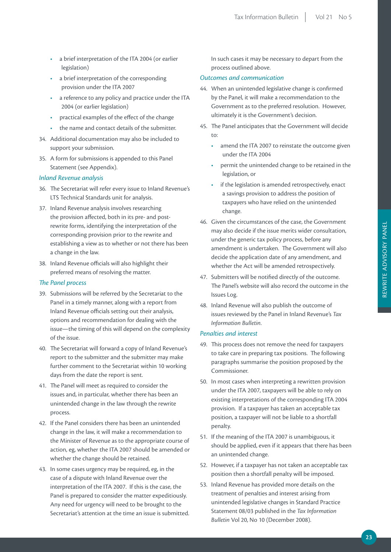- a brief interpretation of the ITA 2004 (or earlier legislation)
- a brief interpretation of the corresponding provision under the ITA 2007
- a reference to any policy and practice under the ITA 2004 (or earlier legislation)
- practical examples of the effect of the change
- the name and contact details of the submitter.
- 34. Additional documentation may also be included to support your submission.
- 35. A form for submissions is appended to this Panel Statement (see Appendix).

#### *Inland Revenue analysis*

- 36. The Secretariat will refer every issue to Inland Revenue's LTS Technical Standards unit for analysis.
- 37. Inland Revenue analysis involves researching the provision affected, both in its pre- and postrewrite forms, identifying the interpretation of the corresponding provision prior to the rewrite and establishing a view as to whether or not there has been a change in the law.
- 38. Inland Revenue officials will also highlight their preferred means of resolving the matter.

#### *The Panel process*

- 39. Submissions will be referred by the Secretariat to the Panel in a timely manner, along with a report from Inland Revenue officials setting out their analysis, options and recommendation for dealing with the issue—the timing of this will depend on the complexity of the issue.
- 40. The Secretariat will forward a copy of Inland Revenue's report to the submitter and the submitter may make further comment to the Secretariat within 10 working days from the date the report is sent.
- 41. The Panel will meet as required to consider the issues and, in particular, whether there has been an unintended change in the law through the rewrite process.
- 42. If the Panel considers there has been an unintended change in the law, it will make a recommendation to the Minister of Revenue as to the appropriate course of action, eg, whether the ITA 2007 should be amended or whether the change should be retained.
- 43. In some cases urgency may be required, eg, in the case of a dispute with Inland Revenue over the interpretation of the ITA 2007. If this is the case, the Panel is prepared to consider the matter expeditiously. Any need for urgency will need to be brought to the Secretariat's attention at the time an issue is submitted.

In such cases it may be necessary to depart from the process outlined above.

#### *Outcomes and communication*

- 44. When an unintended legislative change is confirmed by the Panel, it will make a recommendation to the Government as to the preferred resolution. However, ultimately it is the Government's decision.
- 45. The Panel anticipates that the Government will decide to:
	- amend the ITA 2007 to reinstate the outcome given under the ITA 2004
	- permit the unintended change to be retained in the legislation, or
	- if the legislation is amended retrospectively, enact a savings provision to address the position of taxpayers who have relied on the unintended change.
- 46. Given the circumstances of the case, the Government may also decide if the issue merits wider consultation, under the generic tax policy process, before any amendment is undertaken. The Government will also decide the application date of any amendment, and whether the Act will be amended retrospectively.
- 47. Submitters will be notified directly of the outcome. The Panel's website will also record the outcome in the Issues Log.
- 48. Inland Revenue will also publish the outcome of issues reviewed by the Panel in Inland Revenue's *Tax Information Bulletin*.

#### *Penalties and interest*

- 49. This process does not remove the need for taxpayers to take care in preparing tax positions. The following paragraphs summarise the position proposed by the Commissioner.
- 50. In most cases when interpreting a rewritten provision under the ITA 2007, taxpayers will be able to rely on existing interpretations of the corresponding ITA 2004 provision. If a taxpayer has taken an acceptable tax position, a taxpayer will not be liable to a shortfall penalty.
- 51. If the meaning of the ITA 2007 is unambiguous, it should be applied, even if it appears that there has been an unintended change.
- 52. However, if a taxpayer has not taken an acceptable tax position then a shortfall penalty will be imposed.
- 53. Inland Revenue has provided more details on the treatment of penalties and interest arising from unintended legislative changes in Standard Practice Statement 08/03 published in the *Tax Information Bulletin* Vol 20, No 10 (December 2008).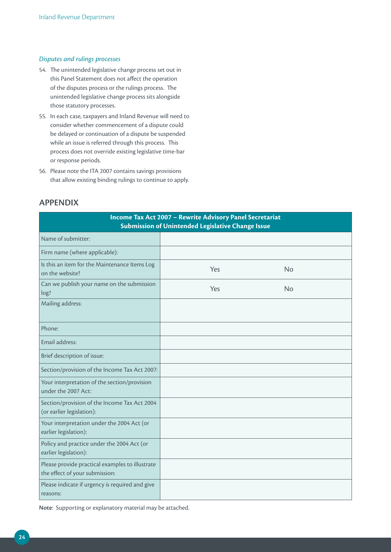#### *Disputes and rulings processes*

- 54. The unintended legislative change process set out in this Panel Statement does not affect the operation of the disputes process or the rulings process. The unintended legislative change process sits alongside those statutory processes.
- 55. In each case, taxpayers and Inland Revenue will need to consider whether commencement of a dispute could be delayed or continuation of a dispute be suspended while an issue is referred through this process. This process does not override existing legislative time-bar or response periods.
- 56. Please note the ITA 2007 contains savings provisions that allow existing binding rulings to continue to apply.

#### **APPENDIX**

| Income Tax Act 2007 - Rewrite Advisory Panel Secretariat<br><b>Submission of Unintended Legislative Change Issue</b> |     |           |  |
|----------------------------------------------------------------------------------------------------------------------|-----|-----------|--|
| Name of submitter:                                                                                                   |     |           |  |
| Firm name (where applicable):                                                                                        |     |           |  |
| Is this an item for the Maintenance Items Log<br>on the website?                                                     | Yes | <b>No</b> |  |
| Can we publish your name on the submission<br>log?                                                                   | Yes | <b>No</b> |  |
| Mailing address:                                                                                                     |     |           |  |
| Phone:                                                                                                               |     |           |  |
| Email address:                                                                                                       |     |           |  |
| Brief description of issue:                                                                                          |     |           |  |
| Section/provision of the Income Tax Act 2007:                                                                        |     |           |  |
| Your interpretation of the section/provision<br>under the 2007 Act:                                                  |     |           |  |
| Section/provision of the Income Tax Act 2004<br>(or earlier legislation):                                            |     |           |  |
| Your interpretation under the 2004 Act (or<br>earlier legislation):                                                  |     |           |  |
| Policy and practice under the 2004 Act (or<br>earlier legislation):                                                  |     |           |  |
| Please provide practical examples to illustrate<br>the effect of your submission:                                    |     |           |  |
| Please indicate if urgency is required and give<br>reasons:                                                          |     |           |  |

**Note**: Supporting or explanatory material may be attached.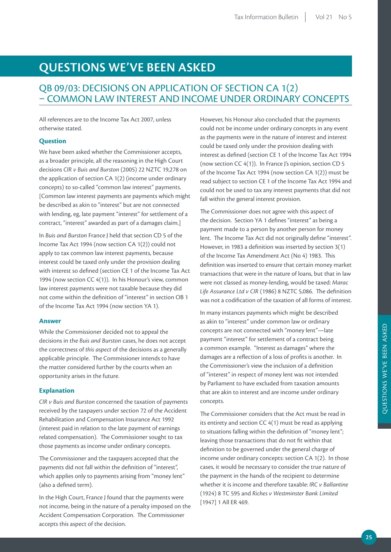# **QUESTIONS WE'VE BEEN ASKED**

## QB 09/03: DECISIONS ON APPLICATION OF SECTION CA 1(2) – COMMON LAW INTEREST AND INCOME UNDER ORDINARY CONCEPTS

All references are to the Income Tax Act 2007, unless otherwise stated.

#### **Question**

We have been asked whether the Commissioner accepts, as a broader principle, all the reasoning in the High Court decisions *CIR v Buis and Burston* (2005) 22 NZTC 19,278 on the application of section CA 1(2) (income under ordinary concepts) to so-called "common law interest" payments. [Common law interest payments are payments which might be described as akin to "interest" but are not connected with lending, eg, late payment "interest" for settlement of a contract, "interest" awarded as part of a damages claim.]

In *Buis and Burston* France J held that section CD 5 of the Income Tax Act 1994 (now section CA 1(2)) could not apply to tax common law interest payments, because interest could be taxed only under the provision dealing with interest so defined (section CE 1 of the Income Tax Act 1994 (now section CC 4(1)). In his Honour's view, common law interest payments were not taxable because they did not come within the definition of "interest" in section OB 1 of the Income Tax Act 1994 (now section YA 1).

#### **Answer**

While the Commissioner decided not to appeal the decisions in the *Buis and Burston* cases, he does not accept the correctness of *this aspect* of the decisions as a generally applicable principle. The Commissioner intends to have the matter considered further by the courts when an opportunity arises in the future.

#### **Explanation**

*CIR v Buis and Burston* concerned the taxation of payments received by the taxpayers under section 72 of the Accident Rehabilitation and Compensation Insurance Act 1992 (interest paid in relation to the late payment of earnings related compensation). The Commissioner sought to tax those payments as income under ordinary concepts.

The Commissioner and the taxpayers accepted that the payments did not fall within the definition of "interest", which applies only to payments arising from "money lent" (also a defined term).

In the High Court, France J found that the payments were not income, being in the nature of a penalty imposed on the Accident Compensation Corporation. The Commissioner accepts this aspect of the decision.

However, his Honour also concluded that the payments could not be income under ordinary concepts in any event as the payments were in the nature of interest and interest could be taxed only under the provision dealing with interest as defined (section CE 1 of the Income Tax Act 1994 (now section CC 4(1)). In France J's opinion, section CD 5 of the Income Tax Act 1994 (now section CA 1(2)) must be read subject to section CE 1 of the Income Tax Act 1994 and could not be used to tax any interest payments that did not fall within the general interest provision.

The Commissioner does not agree with this aspect of the decision. Section YA 1 defines "interest" as being a payment made to a person by another person for money lent. The Income Tax Act did not originally define "interest". However, in 1983 a definition was inserted by section 3(1) of the Income Tax Amendment Act (No 4) 1983. This definition was inserted to ensure that certain money market transactions that were in the nature of loans, but that in law were not classed as money-lending, would be taxed: *Marac Life Assurance Ltd v CIR* (1986) 8 NZTC 5,086. The definition was not a codification of the taxation of all forms of interest.

In many instances payments which might be described as akin to "interest" under common law or ordinary concepts are not connected with "money lent"—late payment "interest" for settlement of a contract being a common example. "Interest as damages" where the damages are a reflection of a loss of profits is another. In the Commissioner's view the inclusion of a definition of "interest" in respect of money lent was not intended by Parliament to have excluded from taxation amounts that are akin to interest and are income under ordinary concepts.

The Commissioner considers that the Act must be read in its entirety and section CC 4(1) must be read as applying to situations falling within the definition of "money lent"; leaving those transactions that do not fit within that definition to be governed under the general charge of income under ordinary concepts: section CA 1(2). In those cases, it would be necessary to consider the true nature of the payment in the hands of the recipient to determine whether it is income and therefore taxable: *IRC v Ballantine* (1924) 8 TC 595 and *Riches v Westminster Bank Limited* [1947] 1 All ER 469.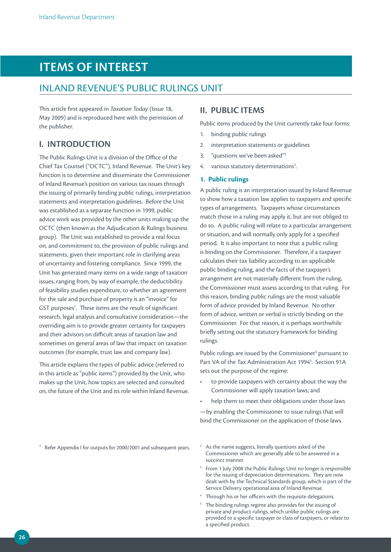# **ITEMS OF INTEREST**

### INLAND REVENUE'S PUBLIC RULINGS UNIT

This article first appeared in *Taxation Today* (Issue 18, May 2009) and is reproduced here with the permission of the publisher.

#### **I. INTRODUCTION**

The Public Rulings Unit is a division of the Office of the Chief Tax Counsel ("OCTC"), Inland Revenue. The Unit's key function is to determine and disseminate the Commissioner of Inland Revenue's position on various tax issues through the issuing of primarily binding public rulings, interpretation statements and interpretation guidelines. Before the Unit was established as a separate function in 1999, public advice work was provided by the other units making up the OCTC (then known as the Adjudication & Rulings business group). The Unit was established to provide a real focus on, and commitment to, the provision of public rulings and statements, given their important role in clarifying areas of uncertainty and fostering compliance. Since 1999, the Unit has generated many items on a wide range of taxation issues, ranging from, by way of example, the deductibility of feasibility studies expenditure, to whether an agreement for the sale and purchase of property is an "invoice" for GST purposes<sup>1</sup>. These items are the result of significant research, legal analysis and consultative consideration—the overriding aim is to provide greater certainty for taxpayers and their advisors on difficult areas of taxation law and sometimes on general areas of law that impact on taxation outcomes (for example, trust law and company law).

This article explains the types of public advice (referred to in this article as "public items") provided by the Unit, who makes up the Unit, how topics are selected and consulted on, the future of the Unit and its role within Inland Revenue.

## **II. PUBLIC ITEMS**

Public items produced by the Unit currently take four forms:

- 1. binding public rulings
- 2. interpretation statements or guidelines
- 3. "questions we've been asked"2
- 4. various statutory determinations<sup>3</sup>. .

#### **1. Public rulings**

A public ruling is an interpretation issued by Inland Revenue to show how a taxation law applies to taxpayers and specific types of arrangements. Taxpayers whose circumstances match those in a ruling may apply it, but are not obliged to do so. A public ruling will relate to a particular arrangement or situation, and will normally only apply for a specified period. It is also important to note that a public ruling is binding on the Commissioner. Therefore, if a taxpayer calculates their tax liability according to an applicable public binding ruling, and the facts of the taxpayer's arrangement are not materially different from the ruling, the Commissioner must assess according to that ruling. For this reason, binding public rulings are the most valuable form of advice provided by Inland Revenue. No other form of advice, written or verbal is strictly binding on the Commissioner. For that reason, it is perhaps worthwhile briefly setting out the statutory framework for binding rulings.

Public rulings are issued by the Commissioner<sup>4</sup> pursuant to Part VA of the Tax Administration Act 1994<sup>5</sup>. Section 91A sets out the purpose of the regime:

- to provide taxpayers with certainty about the way the Commissioner will apply taxation laws; and
- help them to meet their obligations under those laws

—by enabling the Commissioner to issue rulings that will bind the Commissioner on the application of those laws.

<sup>1</sup> Refer Appendix I for outputs for 2000/2001 and subsequent years. <sup>2</sup> As the name suggests, literally questions asked of the

- Commissioner which are generally able to be answered in a succinct manner.
- From 1 July 2008 the Public Rulings Unit no longer is responsible for the issuing of depreciation determinations. They are now dealt with by the Technical Standards group, which is part of the Service Delivery operational area of Inland Revenue.
- <sup>4</sup> Through his or her officers with the requisite delegations.
- The binding rulings regime also provides for the issuing of private and product rulings, which unlike public rulings are provided to a specific taxpayer or class of taxpayers, or relate to a specified product.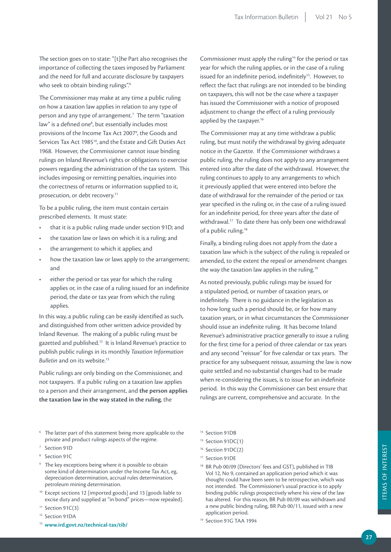The section goes on to state: "[t]he Part also recognises the importance of collecting the taxes imposed by Parliament and the need for full and accurate disclosure by taxpayers who seek to obtain binding rulings".<sup>6</sup>

The Commissioner may make at any time a public ruling on how a taxation law applies in relation to any type of person and any type of arrangement.<sup>7</sup> The term "taxation law" is a defined one<sup>8</sup>, but essentially includes most provisions of the Income Tax Act 2007<sup>9</sup>, the Goods and Services Tax Act 1985<sup>10</sup>, and the Estate and Gift Duties Act 1968. However, the Commissioner cannot issue binding rulings on Inland Revenue's rights or obligations to exercise powers regarding the administration of the tax system. This includes imposing or remitting penalties, inquiries into the correctness of returns or information supplied to it, prosecution, or debt recovery.<sup>11</sup>

To be a public ruling, the item must contain certain prescribed elements. It must state:

- that it is a public ruling made under section 91D; and
- the taxation law or laws on which it is a ruling; and
- the arrangement to which it applies; and
- how the taxation law or laws apply to the arrangement; and
- either the period or tax year for which the ruling applies or, in the case of a ruling issued for an indefinite period, the date or tax year from which the ruling applies.

In this way, a public ruling can be easily identified as such, and distinguished from other written advice provided by Inland Revenue. The making of a public ruling must be gazetted and published.12 It is Inland Revenue's practice to publish public rulings in its monthly *Taxation Information*  **Bulletin** and on its website.<sup>13</sup>

Public rulings are only binding on the Commissioner, and not taxpayers. If a public ruling on a taxation law applies to a person and their arrangement, and **the person applies the taxation law in the way stated in the ruling**, the

Commissioner must apply the ruling<sup>14</sup> for the period or tax year for which the ruling applies, or in the case of a ruling issued for an indefinite period, indefinitely<sup>15</sup>. However, to reflect the fact that rulings are not intended to be binding on taxpayers, this will not be the case where a taxpayer has issued the Commissioner with a notice of proposed adjustment to change the effect of a ruling previously applied by the taxpayer.<sup>16</sup>

The Commissioner may at any time withdraw a public ruling, but must notify the withdrawal by giving adequate notice in the Gazette. If the Commissioner withdraws a public ruling, the ruling does not apply to any arrangement entered into after the date of the withdrawal. However, the ruling continues to apply to any arrangements to which it previously applied that were entered into before the date of withdrawal for the remainder of the period or tax year specified in the ruling or, in the case of a ruling issued for an indefinite period, for three years after the date of withdrawal.<sup>17</sup> To date there has only been one withdrawal of a public ruling.<sup>18</sup>

Finally, a binding ruling does not apply from the date a taxation law which is the subject of the ruling is repealed or amended, to the extent the repeal or amendment changes the way the taxation law applies in the ruling.<sup>19</sup>

As noted previously, public rulings may be issued for a stipulated period, or number of taxation years, or indefinitely. There is no guidance in the legislation as to how long such a period should be, or for how many taxation years, or in what circumstances the Commissioner should issue an indefinite ruling. It has become Inland Revenue's administrative practice generally to issue a ruling for the first time for a period of three calendar or tax years and any second "reissue" for five calendar or tax years. The practice for any subsequent reissue, assuming the law is now quite settled and no substantial changes had to be made when re-considering the issues, is to issue for an indefinite period. In this way the Commissioner can best ensure that rulings are current, comprehensive and accurate. In the

- The latter part of this statement being more applicable to the private and product rulings aspects of the regime.
- <sup>7</sup> Section 91D
- <sup>8</sup> Section 91C
- <sup>9</sup> The key exceptions being where it is possible to obtain some kind of determination under the Income Tax Act, eg, depreciation determination, accrual rules determination, petroleum mining determination.
- <sup>10</sup> Except sections 12 [imported goods] and 13 [goods liable to excise duty and supplied at "in bond" prices—now repealed].
- $11$  Section 91C(3)
- <sup>12</sup> Section 91DA
- <sup>13</sup> **www.ird.govt.nz/technical-tax/tib/**

<sup>14</sup> Section 91DB

- $15$  Section 91DC(1)
- <sup>16</sup> Section 91DC(2)
- <sup>17</sup> Section 91DE
- <sup>18</sup> BR Pub 00/09 (Directors' fees and GST), published in TIB Vol 12, No 9, contained an application period which it was thought could have been seen to be retrospective, which was not intended. The Commissioner's usual practice is to apply binding public rulings prospectively where his view of the law has altered. For this reason, BR Pub 00/09 was withdrawn and a new public binding ruling, BR Pub 00/11, issued with a new application period.

<sup>19</sup> Section 91G TAA 1994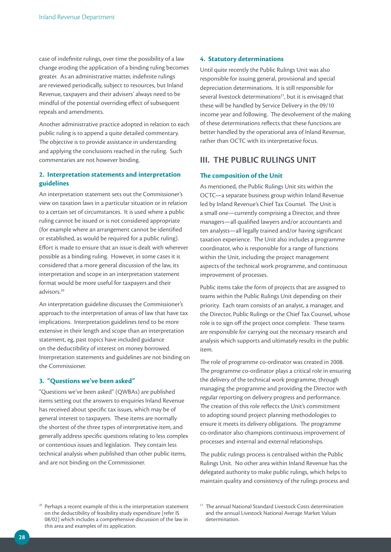case of indefinite rulings, over time the possibility of a law change eroding the application of a binding ruling becomes greater. As an administrative matter, indefinite rulings are reviewed periodically, subject to resources, but Inland Revenue, taxpayers and their advisers' always need to be mindful of the potential overriding effect of subsequent repeals and amendments.

Another administrative practice adopted in relation to each public ruling is to append a quite detailed commentary. The objective is to provide assistance in understanding and applying the conclusions reached in the ruling. Such commentaries are not however binding.

#### **2. Interpretation statements and interpretation guidelines**

An interpretation statement sets out the Commissioner's view on taxation laws in a particular situation or in relation to a certain set of circumstances. It is used where a public ruling cannot be issued or is not considered appropriate (for example where an arrangement cannot be identified or established, as would be required for a public ruling). Effort is made to ensure that an issue is dealt with wherever possible as a binding ruling. However, in some cases it is considered that a more general discussion of the law, its interpretation and scope in an interpretation statement format would be more useful for taxpayers and their advisors.20

An interpretation guideline discusses the Commissioner's approach to the interpretation of areas of law that have tax implications. Interpretation guidelines tend to be more extensive in their length and scope than an interpretation statement, eg, past topics have included guidance on the deductibility of interest on money borrowed. Interpretation statements and guidelines are not binding on the Commissioner.

#### **3. "Questions we've been asked"**

"Questions we've been asked" (QWBAs) are published items setting out the answers to enquiries Inland Revenue has received about specific tax issues, which may be of general interest to taxpayers. These items are normally the shortest of the three types of interpretative item, and generally address specific questions relating to less complex or contentious issues and legislation. They contain less technical analysis when published than other public items, and are not binding on the Commissioner.

#### **4. Statutory determinations**

Until quite recently the Public Rulings Unit was also responsible for issuing general, provisional and special depreciation determinations. It is still responsible for several livestock determinations<sup>21</sup>, but it is envisaged that these will be handled by Service Delivery in the 09/10 income year and following. The devolvement of the making of these determinations reflects that these functions are better handled by the operational area of Inland Revenue, rather than OCTC with its interpretative focus.

#### **III. THE PUBLIC RULINGS UNIT**

#### **The composition of the Unit**

As mentioned, the Public Rulings Unit sits within the OCTC—a separate business group within Inland Revenue led by Inland Revenue's Chief Tax Counsel. The Unit is a small one—currently comprising a Director, and three managers—all qualified lawyers and/or accountants and ten analysts—all legally trained and/or having significant taxation experience. The Unit also includes a programme coordinator, who is responsible for a range of functions within the Unit, including the project management aspects of the technical work programme, and continuous improvement of processes.

Public items take the form of projects that are assigned to teams within the Public Rulings Unit depending on their priority. Each team consists of an analyst, a manager, and the Director, Public Rulings or the Chief Tax Counsel, whose role is to sign off the project once complete. These teams are responsible for carrying out the necessary research and analysis which supports and ultimately results in the public item.

The role of programme co-ordinator was created in 2008. The programme co-ordinator plays a critical role in ensuring the delivery of the technical work programme, through managing the programme and providing the Director with regular reporting on delivery progress and performance. The creation of this role reflects the Unit's commitment to adopting sound project planning methodologies to ensure it meets its delivery obligations. The programme co-ordinator also champions continuous improvement of processes and internal and external relationships.

The public rulings process is centralised within the Public Rulings Unit. No other area within Inland Revenue has the delegated authority to make public rulings, which helps to maintain quality and consistency of the rulings process and

*<sup>20</sup>* Perhaps a recent example of this is the interpretation statement on the deductibility of feasibility study expenditure [refer IS 08/02] which includes a comprehensive discussion of the law in this area and examples of its application.

<sup>&</sup>lt;sup>21</sup> The annual National Standard Livestock Costs determination and the annual Livestock National Average Market Values determination.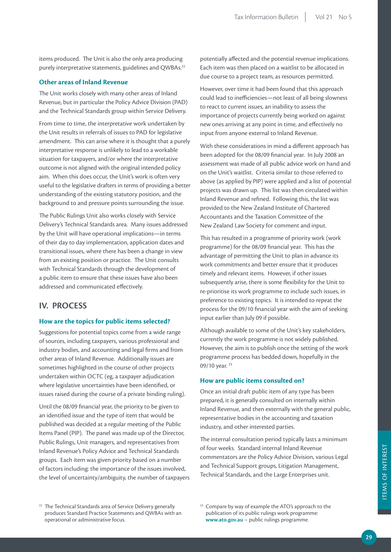items produced. The Unit is also the only area producing purely interpretative statements, guidelines and QWBAs.<sup>22</sup>

#### **Other areas of Inland Revenue**

The Unit works closely with many other areas of Inland Revenue, but in particular the Policy Advice Division (PAD) and the Technical Standards group within Service Delivery.

From time to time, the interpretative work undertaken by the Unit results in referrals of issues to PAD for legislative amendment. This can arise where it is thought that a purely interpretative response is unlikely to lead to a workable situation for taxpayers, and/or where the interpretative outcome is not aligned with the original intended policy aim. When this does occur, the Unit's work is often very useful to the legislative drafters in terms of providing a better understanding of the existing statutory position, and the background to and pressure points surrounding the issue.

The Public Rulings Unit also works closely with Service Delivery's Technical Standards area. Many issues addressed by the Unit will have operational implications—in terms of their day to day implementation, application dates and transitional issues, where there has been a change in view from an existing position or practice. The Unit consults with Technical Standards through the development of a public item to ensure that these issues have also been addressed and communicated effectively.

#### **IV. PROCESS**

#### **How are the topics for public items selected?**

Suggestions for potential topics come from a wide range of sources, including taxpayers, various professional and industry bodies, and accounting and legal firms and from other areas of Inland Revenue. Additionally issues are sometimes highlighted in the course of other projects undertaken within OCTC (eg, a taxpayer adjudication where legislative uncertainties have been identified, or issues raised during the course of a private binding ruling).

Until the 08/09 financial year, the priority to be given to an identified issue and the type of item that would be published was decided at a regular meeting of the Public Items Panel (PIP). The panel was made up of the Director, Public Rulings, Unit managers, and representatives from Inland Revenue's Policy Advice and Technical Standards groups. Each item was given priority based on a number of factors including: the importance of the issues involved, the level of uncertainty/ambiguity, the number of taxpayers

potentially affected and the potential revenue implications. Each item was then placed on a waitlist to be allocated in due course to a project team, as resources permitted.

However, over time it had been found that this approach could lead to inefficiencies—not least of all being slowness to react to current issues, an inability to assess the importance of projects currently being worked on against new ones arriving at any point in time, and effectively no input from anyone external to Inland Revenue.

With these considerations in mind a different approach has been adopted for the 08/09 financial year. In July 2008 an assessment was made of all public advice work on hand and on the Unit's waitlist. Criteria similar to those referred to above (as applied by PIP) were applied and a list of potential projects was drawn up. This list was then circulated within Inland Revenue and refined. Following this, the list was provided to the New Zealand Institute of Chartered Accountants and the Taxation Committee of the New Zealand Law Society for comment and input.

This has resulted in a programme of priority work (work programme) for the 08/09 financial year. This has the advantage of permitting the Unit to plan in advance its work commitments and better ensure that it produces timely and relevant items. However, if other issues subsequently arise, there is some flexibility for the Unit to re-prioritise its work programme to include such issues, in preference to existing topics. It is intended to repeat the process for the 09/10 financial year with the aim of seeking input earlier than July 09 if possible.

Although available to some of the Unit's key stakeholders, currently the work programme is not widely published. However, the aim is to publish once the setting of the work programme process has bedded down, hopefully in the 09/10 year. 23

#### **How are public items consulted on?**

Once an initial draft public item of any type has been prepared, it is generally consulted on internally within Inland Revenue, and then externally with the general public, representative bodies in the accounting and taxation industry, and other interested parties.

The internal consultation period typically lasts a minimum of four weeks. Standard internal Inland Revenue commentators are the Policy Advice Division, various Legal and Technical Support groups, Litigation Management, Technical Standards, and the Large Enterprises unit.

<sup>&</sup>lt;sup>22</sup> The Technical Standards area of Service Delivery generally produces Standard Practice Statements and QWBAs with an operational or administrative focus.

<sup>&</sup>lt;sup>23</sup> Compare by way of example the ATO's approach to the publication of its public rulings work programme: **www.ato.gov.au** – public rulings programme.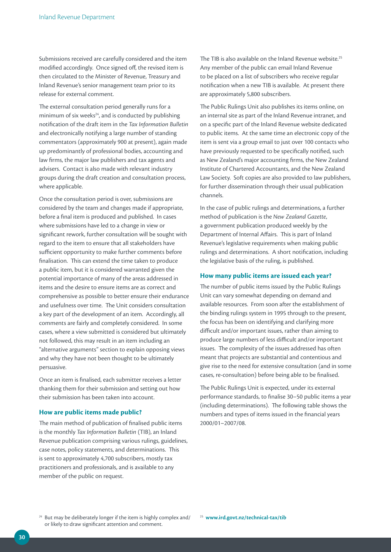Submissions received are carefully considered and the item modified accordingly. Once signed off, the revised item is then circulated to the Minister of Revenue, Treasury and Inland Revenue's senior management team prior to its release for external comment.

The external consultation period generally runs for a minimum of six weeks $24$ , and is conducted by publishing notification of the draft item in the *Tax Information Bulletin* and electronically notifying a large number of standing commentators (approximately 900 at present), again made up predominantly of professional bodies, accounting and law firms, the major law publishers and tax agents and advisers. Contact is also made with relevant industry groups during the draft creation and consultation process, where applicable.

Once the consultation period is over, submissions are considered by the team and changes made if appropriate, before a final item is produced and published. In cases where submissions have led to a change in view or significant rework, further consultation will be sought with regard to the item to ensure that all stakeholders have sufficient opportunity to make further comments before finalisation. This can extend the time taken to produce a public item, but it is considered warranted given the potential importance of many of the areas addressed in items and the desire to ensure items are as correct and comprehensive as possible to better ensure their endurance and usefulness over time. The Unit considers consultation a key part of the development of an item. Accordingly, all comments are fairly and completely considered. In some cases, where a view submitted is considered but ultimately not followed, this may result in an item including an "alternative arguments" section to explain opposing views and why they have not been thought to be ultimately persuasive.

Once an item is finalised, each submitter receives a letter thanking them for their submission and setting out how their submission has been taken into account.

#### **How are public items made public?**

The main method of publication of finalised public items is the monthly *Tax Information Bulletin* (TIB), an Inland Revenue publication comprising various rulings, guidelines, case notes, policy statements, and determinations. This is sent to approximately 4,700 subscribers, mostly tax practitioners and professionals, and is available to any member of the public on request.

The TIB is also available on the Inland Revenue website.<sup>25</sup> Any member of the public can email Inland Revenue to be placed on a list of subscribers who receive regular notification when a new TIB is available. At present there are approximately 5,800 subscribers.

The Public Rulings Unit also publishes its items online, on an internal site as part of the Inland Revenue intranet, and on a specific part of the Inland Revenue website dedicated to public items. At the same time an electronic copy of the item is sent via a group email to just over 100 contacts who have previously requested to be specifically notified, such as New Zealand's major accounting firms, the New Zealand Institute of Chartered Accountants, and the New Zealand Law Society. Soft copies are also provided to law publishers, for further dissemination through their usual publication channels.

In the case of public rulings and determinations, a further method of publication is the *New Zealand Gazette*, a government publication produced weekly by the Department of Internal Affairs. This is part of Inland Revenue's legislative requirements when making public rulings and determinations. A short notification, including the legislative basis of the ruling, is published.

#### **How many public items are issued each year?**

The number of public items issued by the Public Rulings Unit can vary somewhat depending on demand and available resources. From soon after the establishment of the binding rulings system in 1995 through to the present, the focus has been on identifying and clarifying more difficult and/or important issues, rather than aiming to produce large numbers of less difficult and/or important issues. The complexity of the issues addressed has often meant that projects are substantial and contentious and give rise to the need for extensive consultation (and in some cases, re-consultation) before being able to be finalised.

The Public Rulings Unit is expected, under its external performance standards, to finalise 30–50 public items a year (including determinations). The following table shows the numbers and types of items issued in the financial years 2000/01–2007/08.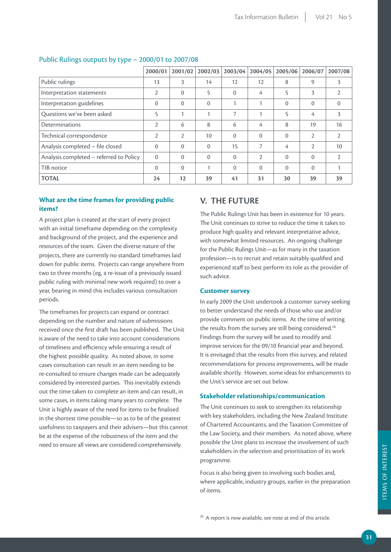|                                         | 2000/01        | 2001/02        | 2002/03  | 2003/04      | 2004/05        | 2005/06      | 2006/07        | 2007/08        |
|-----------------------------------------|----------------|----------------|----------|--------------|----------------|--------------|----------------|----------------|
| Public rulings                          | 13             | 3              | 14       | 12           | 12             | 8            | 9              | 3              |
| Interpretation statements               | 2              | $\Omega$       | 5        | $\mathbf{0}$ | 4              | 5            | 3              | $\overline{2}$ |
| Interpretation guidelines               | $\Omega$       | $\Omega$       | $\Omega$ |              | 1              | $\mathbf{0}$ | $\mathbf{0}$   | $\mathbf{0}$   |
| Questions we've been asked              | 5              | 1              | 1        | 7            |                | 5            | 4              | 3              |
| Determinations                          | $\overline{2}$ | 6              | 8        | 6            | 4              | 8            | 19             | 16             |
| Technical correspondence                | 2              | $\overline{2}$ | 10       | $\mathbf{0}$ | $\Omega$       | $\mathbf{0}$ | $\overline{2}$ | $\overline{2}$ |
| Analysis completed - file closed        | $\Omega$       | $\Omega$       | $\Omega$ | 15           | $\overline{7}$ | 4            | $\mathcal{P}$  | 10             |
| Analysis completed – referred to Policy | $\Omega$       | $\Omega$       | $\Omega$ | $\Omega$     | $\mathfrak{D}$ | $\Omega$     | $\overline{0}$ | $\overline{2}$ |
| TIB notice                              | $\mathbf{0}$   | $\Omega$       | 1        | $\mathbf{0}$ | $\Omega$       | $\mathbf{0}$ | $\mathbf{0}$   | 1              |
| <b>TOTAL</b>                            | 24             | 12             | 39       | 41           | 31             | 30           | 39             | 39             |

#### Public Rulings outputs by type – 2000/01 to 2007/08

#### **What are the time frames for providing public items?**

A project plan is created at the start of every project with an initial timeframe depending on the complexity and background of the project, and the experience and resources of the team. Given the diverse nature of the projects, there are currently no standard timeframes laid down for public items. Projects can range anywhere from two to three months (eg, a re-issue of a previously issued public ruling with minimal new work required) to over a year, bearing in mind this includes various consultation periods.

The timeframes for projects can expand or contract depending on the number and nature of submissions received once the first draft has been published. The Unit is aware of the need to take into account considerations of timeliness and efficiency while ensuring a result of the highest possible quality. As noted above, in some cases consultation can result in an item needing to be re-consulted to ensure changes made can be adequately considered by interested parties. This inevitably extends out the time taken to complete an item and can result, in some cases, in items taking many years to complete. The Unit is highly aware of the need for items to be finalised in the shortest time possible—so as to be of the greatest usefulness to taxpayers and their advisers—but this cannot be at the expense of the robustness of the item and the need to ensure all views are considered comprehensively.

#### **V. THE FUTURE**

The Public Rulings Unit has been in existence for 10 years. The Unit continues to strive to reduce the time it takes to produce high quality and relevant interpretative advice, with somewhat limited resources. An ongoing challenge for the Public Rulings Unit—as for many in the taxation profession—is to recruit and retain suitably qualified and experienced staff to best perform its role as the provider of such advice.

#### **Customer survey**

In early 2009 the Unit undertook a customer survey seeking to better understand the needs of those who use and/or provide comment on public items. At the time of writing the results from the survey are still being considered.<sup>26</sup> Findings from the survey will be used to modify and improve services for the 09/10 financial year and beyond. It is envisaged that the results from this survey, and related recommendations for process improvements, will be made available shortly. However, some ideas for enhancements to the Unit's service are set out below.

#### **Stakeholder relationships/communication**

The Unit continues to seek to strengthen its relationship with key stakeholders, including the New Zealand Institute of Chartered Accountants, and the Taxation Committee of the Law Society, and their members. As noted above, where possible the Unit plans to increase the involvement of such stakeholders in the selection and prioritisation of its work programme.

Focus is also being given to involving such bodies and, where applicable, industry groups, earlier in the preparation of items.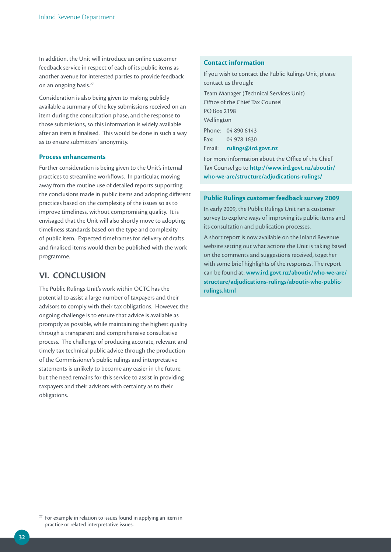In addition, the Unit will introduce an online customer feedback service in respect of each of its public items as another avenue for interested parties to provide feedback on an ongoing basis.<sup>27</sup>

Consideration is also being given to making publicly available a summary of the key submissions received on an item during the consultation phase, and the response to those submissions, so this information is widely available after an item is finalised. This would be done in such a way as to ensure submitters' anonymity.

#### **Process enhancements**

Further consideration is being given to the Unit's internal practices to streamline workflows. In particular, moving away from the routine use of detailed reports supporting the conclusions made in public items and adopting different practices based on the complexity of the issues so as to improve timeliness, without compromising quality. It is envisaged that the Unit will also shortly move to adopting timeliness standards based on the type and complexity of public item. Expected timeframes for delivery of drafts and finalised items would then be published with the work programme.

#### **VI. CONCLUSION**

The Public Rulings Unit's work within OCTC has the potential to assist a large number of taxpayers and their advisors to comply with their tax obligations. However, the ongoing challenge is to ensure that advice is available as promptly as possible, while maintaining the highest quality through a transparent and comprehensive consultative process. The challenge of producing accurate, relevant and timely tax technical public advice through the production of the Commissioner's public rulings and interpretative statements is unlikely to become any easier in the future, but the need remains for this service to assist in providing taxpayers and their advisors with certainty as to their obligations.

#### **Contact information**

If you wish to contact the Public Rulings Unit, please contact us through: Team Manager (Technical Services Unit) Office of the Chief Tax Counsel PO Box 2198 Wellington Phone: 04 890 6143 Fax: 04 978 1630 Email: **rulings@ird.govt.nz**

For more information about the Office of the Chief Tax Counsel go to **http://www.ird.govt.nz/aboutir/ who-we-are/structure/adjudications-rulings/**

#### **Public Rulings customer feedback survey 2009**

In early 2009, the Public Rulings Unit ran a customer survey to explore ways of improving its public items and its consultation and publication processes.

A short report is now available on the Inland Revenue website setting out what actions the Unit is taking based on the comments and suggestions received, together with some brief highlights of the responses. The report can be found at: **www.ird.govt.nz/aboutir/who-we-are/ structure/adjudications-rulings/aboutir-who-publicrulings.html**

 $27$  For example in relation to issues found in applying an item in practice or related interpretative issues.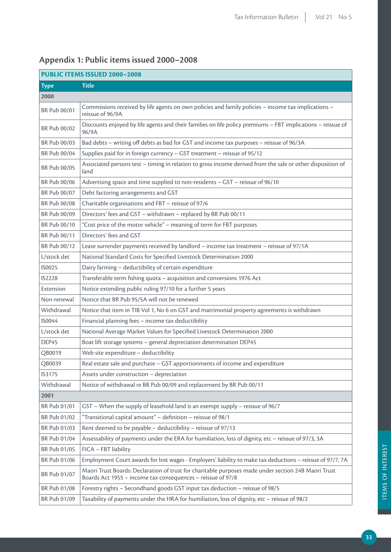| PUBLIC ITEMS ISSUED 2000-2008 |                                                                                                                                                                    |  |  |  |
|-------------------------------|--------------------------------------------------------------------------------------------------------------------------------------------------------------------|--|--|--|
| <b>Type</b>                   | <b>Title</b>                                                                                                                                                       |  |  |  |
| 2000                          |                                                                                                                                                                    |  |  |  |
| BR Pub 00/01                  | Commissions received by life agents on own policies and family policies - income tax implications -<br>reissue of 96/9A                                            |  |  |  |
| BR Pub 00/02                  | Discounts enjoyed by life agents and their families on life policy premiums - FBT implications - reissue of<br>96/9A                                               |  |  |  |
| BR Pub 00/03                  | Bad debts - writing off debts as bad for GST and income tax purposes - reissue of 96/3A                                                                            |  |  |  |
| BR Pub 00/04                  | Supplies paid for in foreign currency - GST treatment - reissue of 95/12                                                                                           |  |  |  |
| BR Pub 00/05                  | Associated persons test - timing in relation to gross income derived from the sale or other disposition of<br>land                                                 |  |  |  |
| BR Pub 00/06                  | Advertising space and time supplied to non-residents - GST - reissue of 96/10                                                                                      |  |  |  |
| BR Pub 00/07                  | Debt factoring arrangements and GST                                                                                                                                |  |  |  |
| BR Pub 00/08                  | Charitable organisations and FBT - reissue of 97/6                                                                                                                 |  |  |  |
| BR Pub 00/09                  | Directors' fees and GST - withdrawn - replaced by BR Pub 00/11                                                                                                     |  |  |  |
| BR Pub 00/10                  | "Cost price of the motor vehicle" - meaning of term for FBT purposes                                                                                               |  |  |  |
| BR Pub 00/11                  | Directors' fees and GST                                                                                                                                            |  |  |  |
| BR Pub 00/12                  | Lease surrender payments received by landlord - income tax treatment - reissue of 97/1A                                                                            |  |  |  |
| L/stock det                   | National Standard Costs for Specified Livestock Determination 2000                                                                                                 |  |  |  |
| IS0025                        | Dairy farming - deductibility of certain expenditure                                                                                                               |  |  |  |
| <b>IS2228</b>                 | Transferable term fishing quota - acquisition and conversions 1976 Act                                                                                             |  |  |  |
| Extension                     | Notice extending public ruling 97/10 for a further 5 years                                                                                                         |  |  |  |
| Non-renewal                   | Notice that BR Pub 95/5A will not be renewed                                                                                                                       |  |  |  |
| Withdrawal                    | Notice that item in TIB Vol 1, No 6 on GST and matrimonial property agreements is withdrawn                                                                        |  |  |  |
| <b>IS0044</b>                 | Financial planning fees - income tax deductibility                                                                                                                 |  |  |  |
| L/stock det                   | National Average Market Values for Specified Livestock Determination 2000                                                                                          |  |  |  |
| DEP45                         | Boat lift storage systems - general depreciation determination DEP45                                                                                               |  |  |  |
| QB0019                        | Web site expenditure - deductibility                                                                                                                               |  |  |  |
| QB0039                        | Real estate sale and purchase - GST apportionments of income and expenditure                                                                                       |  |  |  |
| IS3175                        | Assets under construction - depreciation                                                                                                                           |  |  |  |
| Withdrawal                    | Notice of withdrawal re BR Pub 00/09 and replacement by BR Pub 00/11                                                                                               |  |  |  |
| 2001                          |                                                                                                                                                                    |  |  |  |
| BR Pub 01/01                  | GST - When the supply of leasehold land is an exempt supply - reissue of 96/7                                                                                      |  |  |  |
| BR Pub 01/02                  | "Transitional capital amount" - definition - reissue of 98/1                                                                                                       |  |  |  |
| BR Pub 01/03                  | Rent deemed to be payable - deductibility - reissue of 97/13                                                                                                       |  |  |  |
| BR Pub 01/04                  | Assessability of payments under the ERA for humiliation, loss of dignity, etc - reissue of 97/3, 3A                                                                |  |  |  |
| BR Pub 01/05                  | FICA - FBT liability                                                                                                                                               |  |  |  |
| BR Pub 01/06                  | Employment Court awards for lost wages - Employers' liability to make tax deductions - reissue of 97/7, 7A                                                         |  |  |  |
| BR Pub 01/07                  | Maori Trust Boards: Declaration of trust for charitable purposes made under section 24B Maori Trust<br>Boards Act 1955 - income tax consequences - reissue of 97/8 |  |  |  |
| BR Pub 01/08                  | Forestry rights - Secondhand goods GST input tax deduction - reissue of 98/5                                                                                       |  |  |  |
| BR Pub 01/09                  | Taxability of payments under the HRA for humiliation, loss of dignity, etc - reissue of 98/2                                                                       |  |  |  |

## **Appendix 1: Public items issued 2000–2008**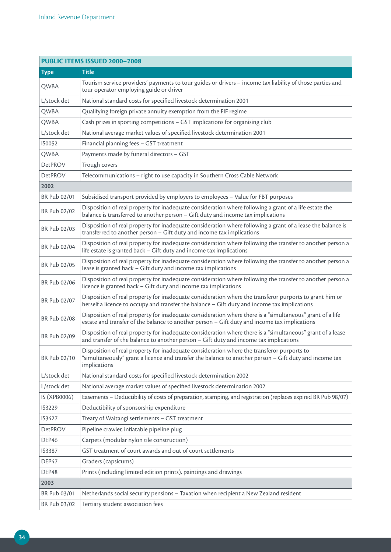| <b>PUBLIC ITEMS ISSUED 2000-2008</b> |                                                                                                                                                                                                                      |  |  |  |
|--------------------------------------|----------------------------------------------------------------------------------------------------------------------------------------------------------------------------------------------------------------------|--|--|--|
| <b>Type</b>                          | Title                                                                                                                                                                                                                |  |  |  |
| QWBA                                 | Tourism service providers' payments to tour guides or drivers - income tax liability of those parties and<br>tour operator employing guide or driver                                                                 |  |  |  |
| L/stock det                          | National standard costs for specified livestock determination 2001                                                                                                                                                   |  |  |  |
| QWBA                                 | Qualifying foreign private annuity exemption from the FIF regime                                                                                                                                                     |  |  |  |
| QWBA                                 | Cash prizes in sporting competitions - GST implications for organising club                                                                                                                                          |  |  |  |
| L/stock det                          | National average market values of specified livestock determination 2001                                                                                                                                             |  |  |  |
| IS0052                               | Financial planning fees - GST treatment                                                                                                                                                                              |  |  |  |
| QWBA                                 | Payments made by funeral directors - GST                                                                                                                                                                             |  |  |  |
| <b>DetPROV</b>                       | Trough covers                                                                                                                                                                                                        |  |  |  |
| <b>DetPROV</b>                       | Telecommunications - right to use capacity in Southern Cross Cable Network                                                                                                                                           |  |  |  |
| 2002                                 |                                                                                                                                                                                                                      |  |  |  |
| BR Pub 02/01                         | Subsidised transport provided by employers to employees - Value for FBT purposes                                                                                                                                     |  |  |  |
| BR Pub 02/02                         | Disposition of real property for inadequate consideration where following a grant of a life estate the<br>balance is transferred to another person - Gift duty and income tax implications                           |  |  |  |
| BR Pub 02/03                         | Disposition of real property for inadequate consideration where following a grant of a lease the balance is<br>transferred to another person - Gift duty and income tax implications                                 |  |  |  |
| BR Pub 02/04                         | Disposition of real property for inadequate consideration where following the transfer to another person a<br>life estate is granted back - Gift duty and income tax implications                                    |  |  |  |
| BR Pub 02/05                         | Disposition of real property for inadequate consideration where following the transfer to another person a<br>lease is granted back - Gift duty and income tax implications                                          |  |  |  |
| BR Pub 02/06                         | Disposition of real property for inadequate consideration where following the transfer to another person a<br>licence is granted back - Gift duty and income tax implications                                        |  |  |  |
| BR Pub 02/07                         | Disposition of real property for inadequate consideration where the transferor purports to grant him or<br>herself a licence to occupy and transfer the balance - Gift duty and income tax implications              |  |  |  |
| BR Pub 02/08                         | Disposition of real property for inadequate consideration where there is a "simultaneous" grant of a life<br>estate and transfer of the balance to another person - Gift duty and income tax implications            |  |  |  |
| BR Pub 02/09                         | Disposition of real property for inadequate consideration where there is a "simultaneous" grant of a lease<br>and transfer of the balance to another person - Gift duty and income tax implications                  |  |  |  |
| BR Pub 02/10                         | Disposition of real property for inadequate consideration where the transferor purports to<br>"simultaneously" grant a licence and transfer the balance to another person - Gift duty and income tax<br>implications |  |  |  |
| L/stock det                          | National standard costs for specified livestock determination 2002                                                                                                                                                   |  |  |  |
| L/stock det                          | National average market values of specified livestock determination 2002                                                                                                                                             |  |  |  |
| IS (XPB0006)                         | Easements - Deductibility of costs of preparation, stamping, and registration (replaces expired BR Pub 98/07)                                                                                                        |  |  |  |
| IS3229                               | Deductibility of sponsorship expenditure                                                                                                                                                                             |  |  |  |
| IS3427                               | Treaty of Waitangi settlements - GST treatment                                                                                                                                                                       |  |  |  |
| <b>DetPROV</b>                       | Pipeline crawler, inflatable pipeline plug                                                                                                                                                                           |  |  |  |
| DEP46                                | Carpets (modular nylon tile construction)                                                                                                                                                                            |  |  |  |
| IS3387                               | GST treatment of court awards and out of court settlements                                                                                                                                                           |  |  |  |
| DEP47                                | Graders (capsicums)                                                                                                                                                                                                  |  |  |  |
| DEP48                                | Prints (including limited edition prints), paintings and drawings                                                                                                                                                    |  |  |  |
| 2003                                 |                                                                                                                                                                                                                      |  |  |  |
| BR Pub 03/01                         | Netherlands social security pensions - Taxation when recipient a New Zealand resident                                                                                                                                |  |  |  |
| BR Pub 03/02                         | Tertiary student association fees                                                                                                                                                                                    |  |  |  |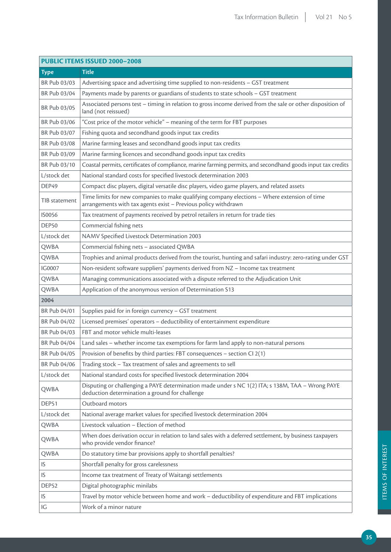|               | PUBLIC ITEMS ISSUED 2000-2008                                                                                                                                  |
|---------------|----------------------------------------------------------------------------------------------------------------------------------------------------------------|
| <b>Type</b>   | <b>Title</b>                                                                                                                                                   |
| BR Pub 03/03  | Advertising space and advertising time supplied to non-residents - GST treatment                                                                               |
| BR Pub 03/04  | Payments made by parents or guardians of students to state schools - GST treatment                                                                             |
| BR Pub 03/05  | Associated persons test - timing in relation to gross income derived from the sale or other disposition of<br>land (not reissued)                              |
| BR Pub 03/06  | "Cost price of the motor vehicle" - meaning of the term for FBT purposes                                                                                       |
| BR Pub 03/07  | Fishing quota and secondhand goods input tax credits                                                                                                           |
| BR Pub 03/08  | Marine farming leases and secondhand goods input tax credits                                                                                                   |
| BR Pub 03/09  | Marine farming licences and secondhand goods input tax credits                                                                                                 |
| BR Pub 03/10  | Coastal permits, certificates of compliance, marine farming permits, and secondhand goods input tax credits                                                    |
| L/stock det   | National standard costs for specified livestock determination 2003                                                                                             |
| DEP49         | Compact disc players, digital versatile disc players, video game players, and related assets                                                                   |
| TIB statement | Time limits for new companies to make qualifying company elections - Where extension of time<br>arrangements with tax agents exist - Previous policy withdrawn |
| IS0056        | Tax treatment of payments received by petrol retailers in return for trade ties                                                                                |
| DEP50         | Commercial fishing nets                                                                                                                                        |
| L/stock det   | NAMV Specified Livestock Determination 2003                                                                                                                    |
| QWBA          | Commercial fishing nets - associated QWBA                                                                                                                      |
| QWBA          | Trophies and animal products derived from the tourist, hunting and safari industry: zero-rating under GST                                                      |
| IG0007        | Non-resident software suppliers' payments derived from NZ - Income tax treatment                                                                               |
| QWBA          | Managing communications associated with a dispute referred to the Adjudication Unit                                                                            |
| QWBA          | Application of the anonymous version of Determination S13                                                                                                      |
| 2004          |                                                                                                                                                                |
| BR Pub 04/01  | Supplies paid for in foreign currency - GST treatment                                                                                                          |
| BR Pub 04/02  | Licensed premises' operators - deductibility of entertainment expenditure                                                                                      |
| BR Pub 04/03  | FBT and motor vehicle multi-leases                                                                                                                             |
| BR Pub 04/04  | Land sales – whether income tax exemptions for farm land apply to non-natural persons                                                                          |
| BR Pub 04/05  | Provision of benefits by third parties: FBT consequences - section CI 2(1)                                                                                     |
| BR Pub 04/06  | Trading stock - Tax treatment of sales and agreements to sell                                                                                                  |
| L/stock det   | National standard costs for specified livestock determination 2004                                                                                             |
| QWBA          | Disputing or challenging a PAYE determination made under s NC 1(2) ITA; s 138M, TAA - Wrong PAYE<br>deduction determination a ground for challenge             |
| DEP51         | Outboard motors                                                                                                                                                |
| L/stock det   | National average market values for specified livestock determination 2004                                                                                      |
| QWBA          | Livestock valuation - Election of method                                                                                                                       |
| QWBA          | When does derivation occur in relation to land sales with a deferred settlement, by business taxpayers<br>who provide vendor finance?                          |
| QWBA          | Do statutory time bar provisions apply to shortfall penalties?                                                                                                 |
| IS            | Shortfall penalty for gross carelessness                                                                                                                       |
| IS            | Income tax treatment of Treaty of Waitangi settlements                                                                                                         |
| DEP52         | Digital photographic minilabs                                                                                                                                  |
| IS            | Travel by motor vehicle between home and work - deductibility of expenditure and FBT implications                                                              |
| IG            | Work of a minor nature                                                                                                                                         |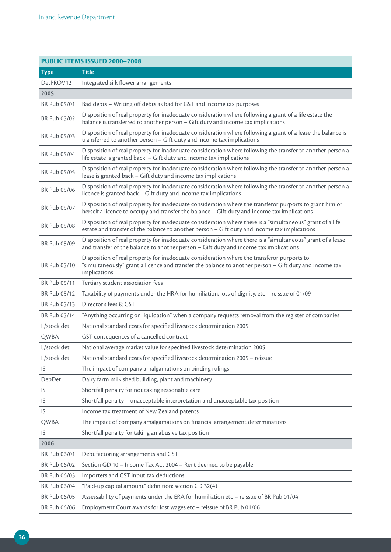| PUBLIC ITEMS ISSUED 2000-2008 |                                                                                                                                                                                                                      |  |
|-------------------------------|----------------------------------------------------------------------------------------------------------------------------------------------------------------------------------------------------------------------|--|
| <b>Type</b>                   | <b>Title</b>                                                                                                                                                                                                         |  |
| DetPROV12                     | Integrated silk flower arrangements                                                                                                                                                                                  |  |
| 2005                          |                                                                                                                                                                                                                      |  |
| BR Pub 05/01                  | Bad debts - Writing off debts as bad for GST and income tax purposes                                                                                                                                                 |  |
| BR Pub 05/02                  | Disposition of real property for inadequate consideration where following a grant of a life estate the<br>balance is transferred to another person - Gift duty and income tax implications                           |  |
| BR Pub 05/03                  | Disposition of real property for inadequate consideration where following a grant of a lease the balance is<br>transferred to another person - Gift duty and income tax implications                                 |  |
| BR Pub 05/04                  | Disposition of real property for inadequate consideration where following the transfer to another person a<br>life estate is granted back $-$ Gift duty and income tax implications                                  |  |
| BR Pub 05/05                  | Disposition of real property for inadequate consideration where following the transfer to another person a<br>lease is granted back - Gift duty and income tax implications                                          |  |
| BR Pub 05/06                  | Disposition of real property for inadequate consideration where following the transfer to another person a<br>licence is granted back - Gift duty and income tax implications                                        |  |
| BR Pub 05/07                  | Disposition of real property for inadequate consideration where the transferor purports to grant him or<br>herself a licence to occupy and transfer the balance - Gift duty and income tax implications              |  |
| BR Pub 05/08                  | Disposition of real property for inadequate consideration where there is a "simultaneous" grant of a life<br>estate and transfer of the balance to another person - Gift duty and income tax implications            |  |
| BR Pub 05/09                  | Disposition of real property for inadequate consideration where there is a "simultaneous" grant of a lease<br>and transfer of the balance to another person - Gift duty and income tax implications                  |  |
| BR Pub 05/10                  | Disposition of real property for inadequate consideration where the transferor purports to<br>"simultaneously" grant a licence and transfer the balance to another person - Gift duty and income tax<br>implications |  |
| BR Pub 05/11                  | Tertiary student association fees                                                                                                                                                                                    |  |
| BR Pub 05/12                  | Taxability of payments under the HRA for humiliation, loss of dignity, etc - reissue of 01/09                                                                                                                        |  |
| BR Pub 05/13                  | Director's fees & GST                                                                                                                                                                                                |  |
| BR Pub 05/14                  | "Anything occurring on liquidation" when a company requests removal from the register of companies                                                                                                                   |  |
| L/stock det                   | National standard costs for specified livestock determination 2005                                                                                                                                                   |  |
| QWBA                          | GST consequences of a cancelled contract                                                                                                                                                                             |  |
| L/stock det                   | National average market value for specified livestock determination 2005                                                                                                                                             |  |
| L/stock det                   | National standard costs for specified livestock determination 2005 - reissue                                                                                                                                         |  |
| IS                            | The impact of company amalgamations on binding rulings                                                                                                                                                               |  |
| DepDet                        | Dairy farm milk shed building, plant and machinery                                                                                                                                                                   |  |
| IS                            | Shortfall penalty for not taking reasonable care                                                                                                                                                                     |  |
| IS                            | Shortfall penalty - unacceptable interpretation and unacceptable tax position                                                                                                                                        |  |
| IS                            | Income tax treatment of New Zealand patents                                                                                                                                                                          |  |
| QWBA                          | The impact of company amalgamations on financial arrangement determinations                                                                                                                                          |  |
| IS                            | Shortfall penalty for taking an abusive tax position                                                                                                                                                                 |  |
| 2006                          |                                                                                                                                                                                                                      |  |
| BR Pub 06/01                  | Debt factoring arrangements and GST                                                                                                                                                                                  |  |
| BR Pub 06/02                  | Section GD 10 - Income Tax Act 2004 - Rent deemed to be payable                                                                                                                                                      |  |
| BR Pub 06/03                  | Importers and GST input tax deductions                                                                                                                                                                               |  |
| BR Pub 06/04                  | "Paid-up capital amount" definition: section CD 32(4)                                                                                                                                                                |  |
| BR Pub 06/05                  | Assessability of payments under the ERA for humiliation etc - reissue of BR Pub 01/04                                                                                                                                |  |
| BR Pub 06/06                  | Employment Court awards for lost wages etc - reissue of BR Pub 01/06                                                                                                                                                 |  |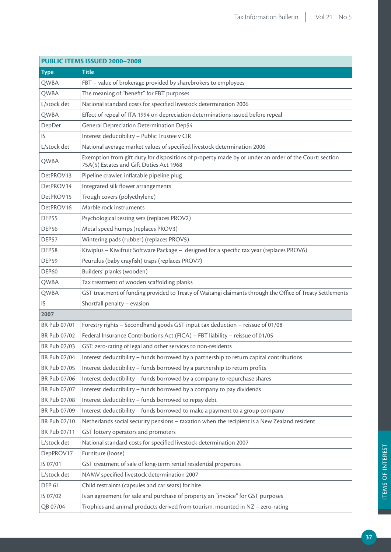| PUBLIC ITEMS ISSUED 2000-2008 |                                                                                                                                                  |  |
|-------------------------------|--------------------------------------------------------------------------------------------------------------------------------------------------|--|
| <b>Type</b>                   | Title                                                                                                                                            |  |
| QWBA                          | FBT - value of brokerage provided by sharebrokers to employees                                                                                   |  |
| QWBA                          | The meaning of "benefit" for FBT purposes                                                                                                        |  |
| L/stock det                   | National standard costs for specified livestock determination 2006                                                                               |  |
| QWBA                          | Effect of repeal of ITA 1994 on depreciation determinations issued before repeal                                                                 |  |
| DepDet                        | <b>General Depreciation Determination Dep54</b>                                                                                                  |  |
| IS                            | Interest deductibility - Public Trustee v CIR                                                                                                    |  |
| L/stock det                   | National average market values of specified livestock determination 2006                                                                         |  |
| QWBA                          | Exemption from gift duty for dispositions of property made by or under an order of the Court: section<br>75A(5) Estates and Gift Duties Act 1968 |  |
| DetPROV13                     | Pipeline crawler, inflatable pipeline plug                                                                                                       |  |
| DetPROV14                     | Integrated silk flower arrangements                                                                                                              |  |
| DetPROV15                     | Trough covers (polyethylene)                                                                                                                     |  |
| DetPROV16                     | Marble rock instruments                                                                                                                          |  |
| DEP55                         | Psychological testing sets (replaces PROV2)                                                                                                      |  |
| DEP <sub>56</sub>             | Metal speed humps (replaces PROV3)                                                                                                               |  |
| DEP57                         | Wintering pads (rubber) (replaces PROV5)                                                                                                         |  |
| DEP58                         | Kiwiplus - Kiwifruit Software Package - designed for a specific tax year (replaces PROV6)                                                        |  |
| DEP59                         | Peurulus (baby crayfish) traps (replaces PROV7)                                                                                                  |  |
| <b>DEP60</b>                  | Builders' planks (wooden)                                                                                                                        |  |
| QWBA                          | Tax treatment of wooden scaffolding planks                                                                                                       |  |
| QWBA                          | GST treatment of funding provided to Treaty of Waitangi claimants through the Office of Treaty Settlements                                       |  |
| IS                            | Shortfall penalty - evasion                                                                                                                      |  |
| 2007                          |                                                                                                                                                  |  |
| BR Pub 07/01                  | Forestry rights - Secondhand goods GST input tax deduction - reissue of 01/08                                                                    |  |
| BR Pub 07/02                  | Federal Insurance Contributions Act (FICA) - FBT liability - reissue of 01/05                                                                    |  |
| BR Pub 07/03                  | GST: zero-rating of legal and other services to non-residents                                                                                    |  |
| BR Pub 07/04                  | Interest deductibility - funds borrowed by a partnership to return capital contributions                                                         |  |
| BR Pub 07/05                  | Interest deductibility - funds borrowed by a partnership to return profits                                                                       |  |
| BR Pub 07/06                  | Interest deductibility - funds borrowed by a company to repurchase shares                                                                        |  |
| BR Pub 07/07                  | Interest deductibility - funds borrowed by a company to pay dividends                                                                            |  |
| BR Pub 07/08                  | Interest deductibility - funds borrowed to repay debt                                                                                            |  |
| BR Pub 07/09                  | Interest deductibility - funds borrowed to make a payment to a group company                                                                     |  |
| BR Pub 07/10                  | Netherlands social security pensions - taxation when the recipient is a New Zealand resident                                                     |  |
| BR Pub 07/11                  | GST lottery operators and promoters                                                                                                              |  |
| L/stock det                   | National standard costs for specified livestock determination 2007                                                                               |  |
| DepPROV17                     | Furniture (loose)                                                                                                                                |  |
| IS 07/01                      | GST treatment of sale of long-term rental residential properties                                                                                 |  |
| L/stock det                   | NAMV specified livestock determination 2007                                                                                                      |  |
| <b>DEP 61</b>                 | Child restraints (capsules and car seats) for hire                                                                                               |  |
| IS 07/02                      | Is an agreement for sale and purchase of property an "invoice" for GST purposes                                                                  |  |
| QB 07/04                      | Trophies and animal products derived from tourism, mounted in NZ - zero-rating                                                                   |  |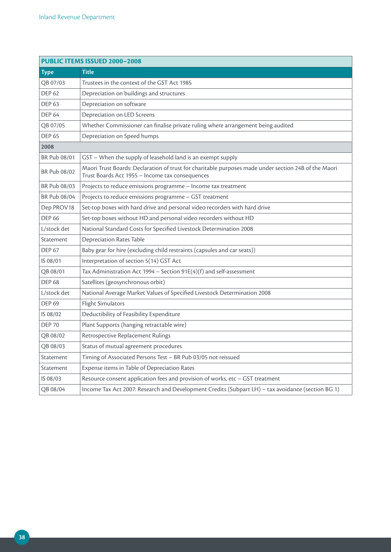| <b>PUBLIC ITEMS ISSUED 2000-2008</b> |                                                                                                                                                         |  |
|--------------------------------------|---------------------------------------------------------------------------------------------------------------------------------------------------------|--|
| <b>Type</b>                          | <b>Title</b>                                                                                                                                            |  |
| QB 07/03                             | Trustees in the context of the GST Act 1985                                                                                                             |  |
| <b>DEP 62</b>                        | Depreciation on buildings and structures                                                                                                                |  |
| <b>DEP 63</b>                        | Depreciation on software                                                                                                                                |  |
| <b>DEP 64</b>                        | Depreciation on LED Screens                                                                                                                             |  |
| QB 07/05                             | Whether Commissioner can finalise private ruling where arrangement being audited                                                                        |  |
| <b>DEP 65</b>                        | Depreciation on Speed humps                                                                                                                             |  |
| 2008                                 |                                                                                                                                                         |  |
| BR Pub 08/01                         | GST - When the supply of leasehold land is an exempt supply                                                                                             |  |
| BR Pub 08/02                         | Maori Trust Boards: Declaration of trust for charitable purposes made under section 24B of the Maori<br>Trust Boards Act 1955 - Income tax consequences |  |
| BR Pub 08/03                         | Projects to reduce emissions programme - Income tax treatment                                                                                           |  |
| BR Pub 08/04                         | Projects to reduce emissions programme - GST treatment                                                                                                  |  |
| Dep PROV18                           | Set-top boxes with hard drive and personal video recorders with hard drive                                                                              |  |
| <b>DEP 66</b>                        | Set-top boxes without HD and personal video recorders without HD                                                                                        |  |
| L/stock det                          | National Standard Costs for Specified Livestock Determination 2008                                                                                      |  |
| Statement                            | <b>Depreciation Rates Table</b>                                                                                                                         |  |
| <b>DEP 67</b>                        | Baby gear for hire (excluding child restraints (capsules and car seats))                                                                                |  |
| IS 08/01                             | Interpretation of section 5(14) GST Act                                                                                                                 |  |
| QB 08/01                             | Tax Administration Act 1994 - Section 91E(4)(f) and self-assessment                                                                                     |  |
| <b>DEP 68</b>                        | Satellites (geosynchronous orbit)                                                                                                                       |  |
| L/stock det                          | National Average Market Values of Specified Livestock Determination 2008                                                                                |  |
| <b>DEP 69</b>                        | <b>Flight Simulators</b>                                                                                                                                |  |
| IS 08/02                             | Deductibility of Feasibility Expenditure                                                                                                                |  |
| <b>DEP 70</b>                        | Plant Supports (hanging retractable wire)                                                                                                               |  |
| QB 08/02                             | Retrospective Replacement Rulings                                                                                                                       |  |
| QB 08/03                             | Status of mutual agreement procedures                                                                                                                   |  |
| Statement                            | Timing of Associated Persons Test - BR Pub 03/05 not reissued                                                                                           |  |
| Statement                            | Expense items in Table of Depreciation Rates                                                                                                            |  |
| IS 08/03                             | Resource consent application fees and provision of works, etc - GST treatment                                                                           |  |
| QB 08/04                             | Income Tax Act 2007: Research and Development Credits (Subpart LH) - tax avoidance (section BG 1)                                                       |  |